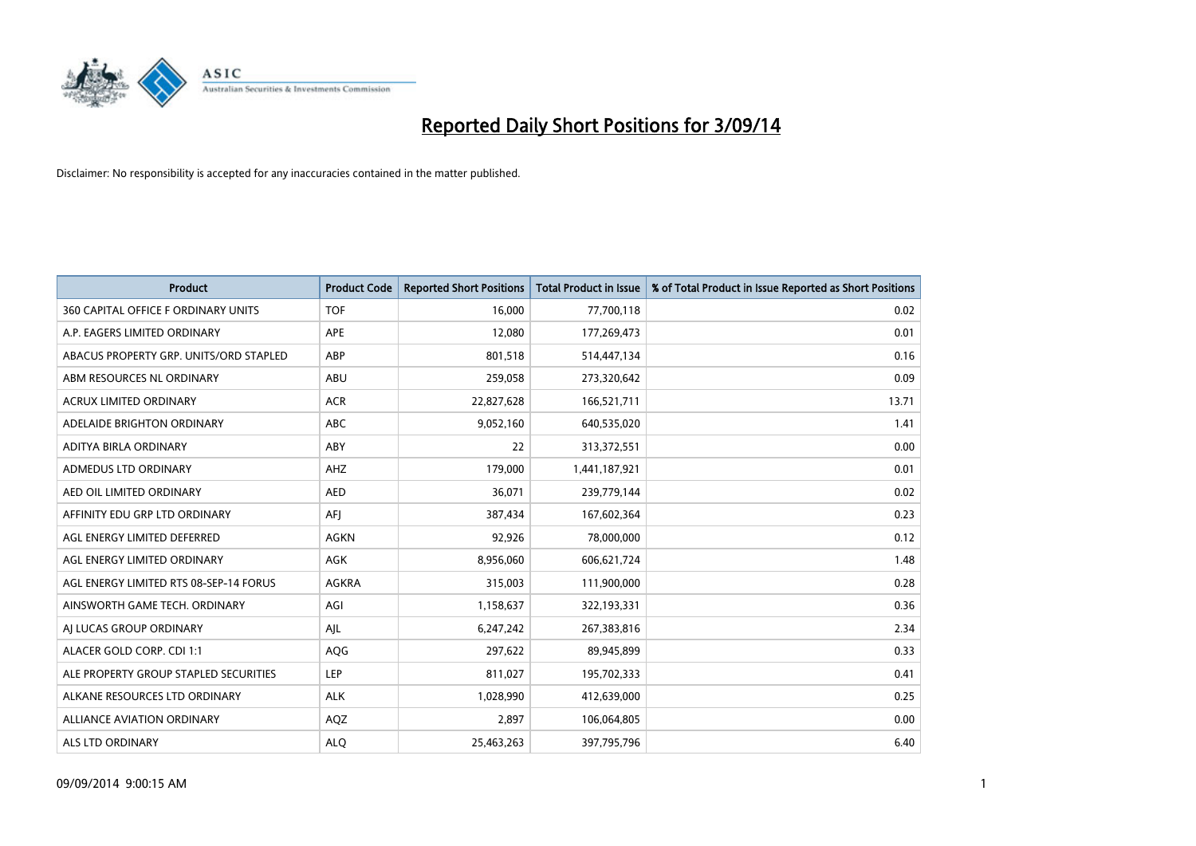

| <b>Product</b>                         | <b>Product Code</b> | <b>Reported Short Positions</b> | <b>Total Product in Issue</b> | % of Total Product in Issue Reported as Short Positions |
|----------------------------------------|---------------------|---------------------------------|-------------------------------|---------------------------------------------------------|
| 360 CAPITAL OFFICE F ORDINARY UNITS    | <b>TOF</b>          | 16,000                          | 77,700,118                    | 0.02                                                    |
| A.P. EAGERS LIMITED ORDINARY           | APE                 | 12,080                          | 177,269,473                   | 0.01                                                    |
| ABACUS PROPERTY GRP. UNITS/ORD STAPLED | ABP                 | 801,518                         | 514,447,134                   | 0.16                                                    |
| ABM RESOURCES NL ORDINARY              | ABU                 | 259,058                         | 273,320,642                   | 0.09                                                    |
| <b>ACRUX LIMITED ORDINARY</b>          | <b>ACR</b>          | 22,827,628                      | 166,521,711                   | 13.71                                                   |
| ADELAIDE BRIGHTON ORDINARY             | <b>ABC</b>          | 9,052,160                       | 640,535,020                   | 1.41                                                    |
| ADITYA BIRLA ORDINARY                  | <b>ABY</b>          | 22                              | 313,372,551                   | 0.00                                                    |
| ADMEDUS LTD ORDINARY                   | AHZ                 | 179,000                         | 1,441,187,921                 | 0.01                                                    |
| AED OIL LIMITED ORDINARY               | <b>AED</b>          | 36,071                          | 239,779,144                   | 0.02                                                    |
| AFFINITY EDU GRP LTD ORDINARY          | AFI                 | 387,434                         | 167,602,364                   | 0.23                                                    |
| AGL ENERGY LIMITED DEFERRED            | AGKN                | 92,926                          | 78,000,000                    | 0.12                                                    |
| AGL ENERGY LIMITED ORDINARY            | AGK                 | 8,956,060                       | 606,621,724                   | 1.48                                                    |
| AGL ENERGY LIMITED RTS 08-SEP-14 FORUS | AGKRA               | 315,003                         | 111,900,000                   | 0.28                                                    |
| AINSWORTH GAME TECH. ORDINARY          | AGI                 | 1,158,637                       | 322,193,331                   | 0.36                                                    |
| AI LUCAS GROUP ORDINARY                | AJL                 | 6,247,242                       | 267,383,816                   | 2.34                                                    |
| ALACER GOLD CORP. CDI 1:1              | AQG                 | 297,622                         | 89,945,899                    | 0.33                                                    |
| ALE PROPERTY GROUP STAPLED SECURITIES  | LEP                 | 811,027                         | 195,702,333                   | 0.41                                                    |
| ALKANE RESOURCES LTD ORDINARY          | <b>ALK</b>          | 1,028,990                       | 412,639,000                   | 0.25                                                    |
| ALLIANCE AVIATION ORDINARY             | AQZ                 | 2,897                           | 106,064,805                   | 0.00                                                    |
| ALS LTD ORDINARY                       | <b>ALO</b>          | 25,463,263                      | 397,795,796                   | 6.40                                                    |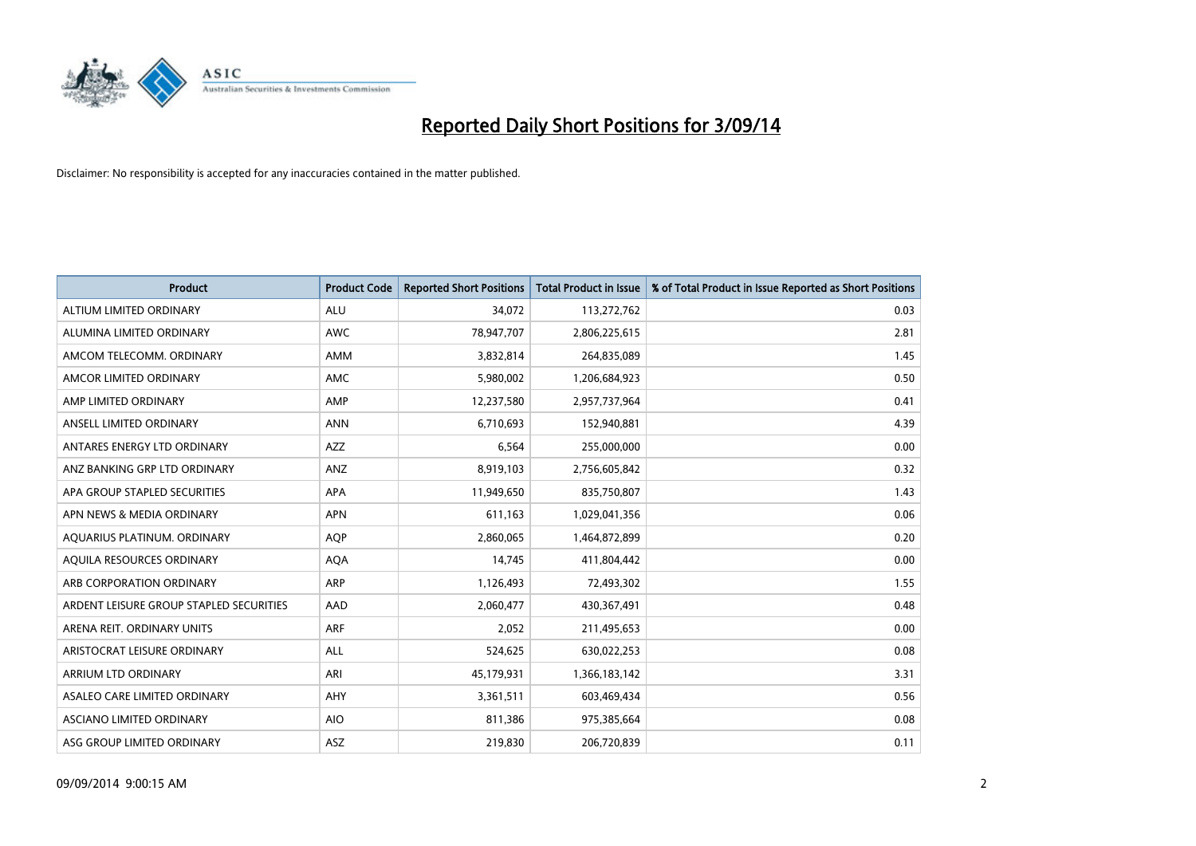

| <b>Product</b>                          | <b>Product Code</b> | <b>Reported Short Positions</b> | <b>Total Product in Issue</b> | % of Total Product in Issue Reported as Short Positions |
|-----------------------------------------|---------------------|---------------------------------|-------------------------------|---------------------------------------------------------|
| ALTIUM LIMITED ORDINARY                 | <b>ALU</b>          | 34,072                          | 113,272,762                   | 0.03                                                    |
| ALUMINA LIMITED ORDINARY                | AWC                 | 78,947,707                      | 2,806,225,615                 | 2.81                                                    |
| AMCOM TELECOMM, ORDINARY                | AMM                 | 3,832,814                       | 264,835,089                   | 1.45                                                    |
| AMCOR LIMITED ORDINARY                  | AMC                 | 5,980,002                       | 1,206,684,923                 | 0.50                                                    |
| AMP LIMITED ORDINARY                    | AMP                 | 12,237,580                      | 2,957,737,964                 | 0.41                                                    |
| ANSELL LIMITED ORDINARY                 | <b>ANN</b>          | 6,710,693                       | 152,940,881                   | 4.39                                                    |
| ANTARES ENERGY LTD ORDINARY             | AZZ                 | 6,564                           | 255,000,000                   | 0.00                                                    |
| ANZ BANKING GRP LTD ORDINARY            | ANZ                 | 8,919,103                       | 2,756,605,842                 | 0.32                                                    |
| APA GROUP STAPLED SECURITIES            | <b>APA</b>          | 11,949,650                      | 835,750,807                   | 1.43                                                    |
| APN NEWS & MEDIA ORDINARY               | <b>APN</b>          | 611,163                         | 1,029,041,356                 | 0.06                                                    |
| AQUARIUS PLATINUM. ORDINARY             | <b>AOP</b>          | 2,860,065                       | 1,464,872,899                 | 0.20                                                    |
| AQUILA RESOURCES ORDINARY               | <b>AQA</b>          | 14,745                          | 411,804,442                   | 0.00                                                    |
| ARB CORPORATION ORDINARY                | ARP                 | 1,126,493                       | 72,493,302                    | 1.55                                                    |
| ARDENT LEISURE GROUP STAPLED SECURITIES | AAD                 | 2,060,477                       | 430,367,491                   | 0.48                                                    |
| ARENA REIT. ORDINARY UNITS              | <b>ARF</b>          | 2,052                           | 211,495,653                   | 0.00                                                    |
| ARISTOCRAT LEISURE ORDINARY             | ALL                 | 524,625                         | 630,022,253                   | 0.08                                                    |
| ARRIUM LTD ORDINARY                     | ARI                 | 45,179,931                      | 1,366,183,142                 | 3.31                                                    |
| ASALEO CARE LIMITED ORDINARY            | AHY                 | 3,361,511                       | 603,469,434                   | 0.56                                                    |
| ASCIANO LIMITED ORDINARY                | <b>AIO</b>          | 811,386                         | 975,385,664                   | 0.08                                                    |
| ASG GROUP LIMITED ORDINARY              | ASZ                 | 219,830                         | 206,720,839                   | 0.11                                                    |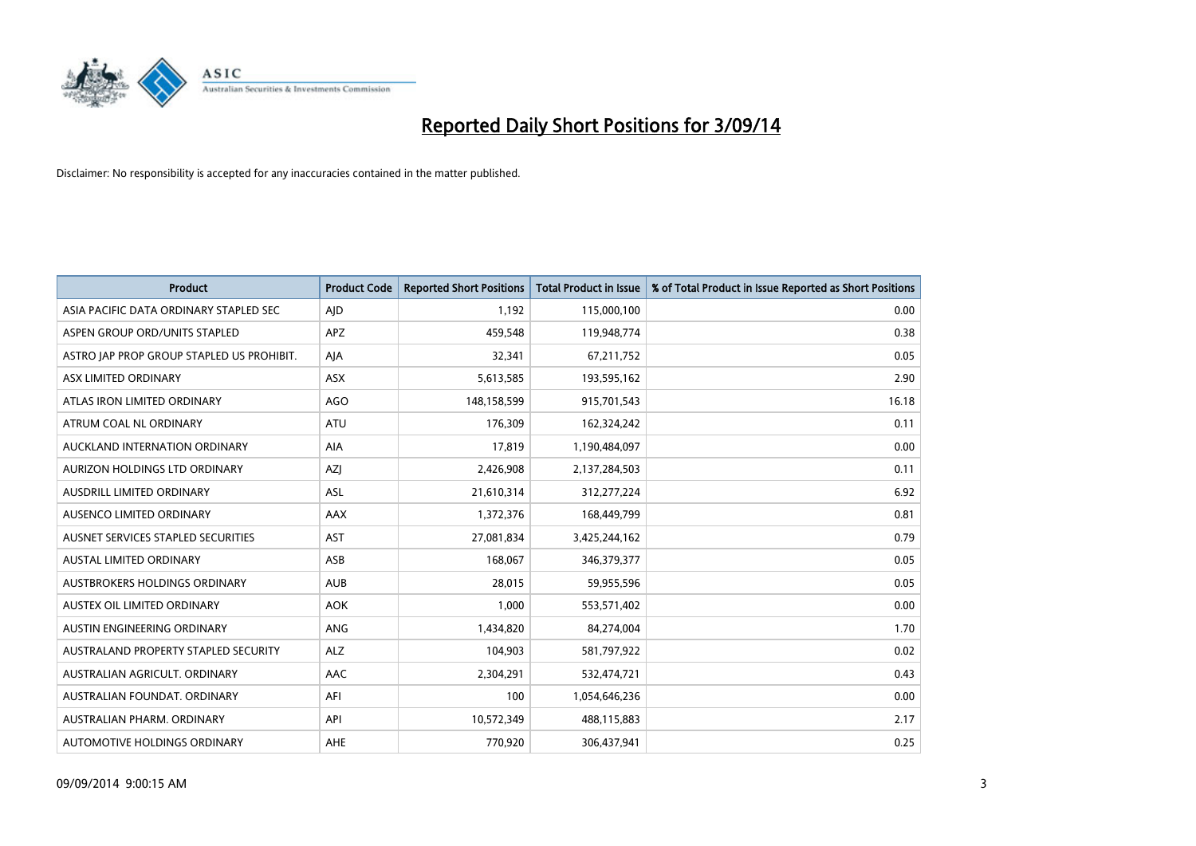

| <b>Product</b>                            | <b>Product Code</b> | <b>Reported Short Positions</b> | <b>Total Product in Issue</b> | % of Total Product in Issue Reported as Short Positions |
|-------------------------------------------|---------------------|---------------------------------|-------------------------------|---------------------------------------------------------|
| ASIA PACIFIC DATA ORDINARY STAPLED SEC    | AJD                 | 1.192                           | 115,000,100                   | 0.00                                                    |
| ASPEN GROUP ORD/UNITS STAPLED             | APZ                 | 459,548                         | 119,948,774                   | 0.38                                                    |
| ASTRO JAP PROP GROUP STAPLED US PROHIBIT. | AJA                 | 32,341                          | 67,211,752                    | 0.05                                                    |
| ASX LIMITED ORDINARY                      | ASX                 | 5,613,585                       | 193,595,162                   | 2.90                                                    |
| ATLAS IRON LIMITED ORDINARY               | <b>AGO</b>          | 148,158,599                     | 915,701,543                   | 16.18                                                   |
| ATRUM COAL NL ORDINARY                    | <b>ATU</b>          | 176,309                         | 162,324,242                   | 0.11                                                    |
| AUCKLAND INTERNATION ORDINARY             | AIA                 | 17,819                          | 1,190,484,097                 | 0.00                                                    |
| AURIZON HOLDINGS LTD ORDINARY             | AZJ                 | 2,426,908                       | 2,137,284,503                 | 0.11                                                    |
| AUSDRILL LIMITED ORDINARY                 | <b>ASL</b>          | 21,610,314                      | 312,277,224                   | 6.92                                                    |
| AUSENCO LIMITED ORDINARY                  | AAX                 | 1,372,376                       | 168,449,799                   | 0.81                                                    |
| AUSNET SERVICES STAPLED SECURITIES        | <b>AST</b>          | 27,081,834                      | 3,425,244,162                 | 0.79                                                    |
| <b>AUSTAL LIMITED ORDINARY</b>            | ASB                 | 168,067                         | 346,379,377                   | 0.05                                                    |
| AUSTBROKERS HOLDINGS ORDINARY             | <b>AUB</b>          | 28,015                          | 59,955,596                    | 0.05                                                    |
| AUSTEX OIL LIMITED ORDINARY               | <b>AOK</b>          | 1,000                           | 553,571,402                   | 0.00                                                    |
| AUSTIN ENGINEERING ORDINARY               | ANG                 | 1,434,820                       | 84,274,004                    | 1.70                                                    |
| AUSTRALAND PROPERTY STAPLED SECURITY      | <b>ALZ</b>          | 104,903                         | 581,797,922                   | 0.02                                                    |
| AUSTRALIAN AGRICULT. ORDINARY             | AAC                 | 2,304,291                       | 532,474,721                   | 0.43                                                    |
| AUSTRALIAN FOUNDAT, ORDINARY              | AFI                 | 100                             | 1,054,646,236                 | 0.00                                                    |
| AUSTRALIAN PHARM, ORDINARY                | API                 | 10,572,349                      | 488,115,883                   | 2.17                                                    |
| AUTOMOTIVE HOLDINGS ORDINARY              | <b>AHE</b>          | 770,920                         | 306,437,941                   | 0.25                                                    |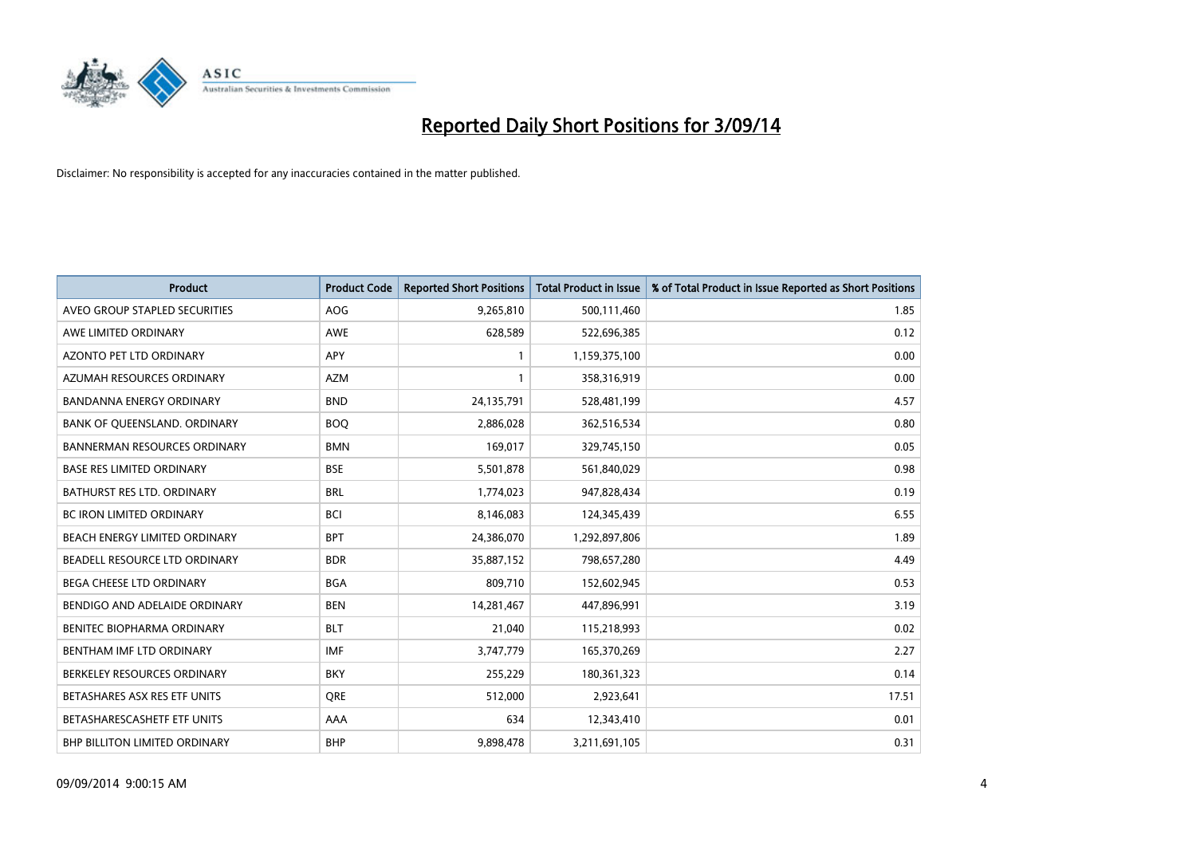

| <b>Product</b>                      | <b>Product Code</b> | <b>Reported Short Positions</b> | <b>Total Product in Issue</b> | % of Total Product in Issue Reported as Short Positions |
|-------------------------------------|---------------------|---------------------------------|-------------------------------|---------------------------------------------------------|
| AVEO GROUP STAPLED SECURITIES       | AOG                 | 9,265,810                       | 500,111,460                   | 1.85                                                    |
| AWE LIMITED ORDINARY                | AWE                 | 628,589                         | 522,696,385                   | 0.12                                                    |
| <b>AZONTO PET LTD ORDINARY</b>      | <b>APY</b>          | 1                               | 1,159,375,100                 | 0.00                                                    |
| AZUMAH RESOURCES ORDINARY           | <b>AZM</b>          | $\mathbf{1}$                    | 358,316,919                   | 0.00                                                    |
| <b>BANDANNA ENERGY ORDINARY</b>     | <b>BND</b>          | 24,135,791                      | 528,481,199                   | 4.57                                                    |
| BANK OF QUEENSLAND. ORDINARY        | <b>BOO</b>          | 2,886,028                       | 362,516,534                   | 0.80                                                    |
| <b>BANNERMAN RESOURCES ORDINARY</b> | <b>BMN</b>          | 169,017                         | 329,745,150                   | 0.05                                                    |
| <b>BASE RES LIMITED ORDINARY</b>    | <b>BSE</b>          | 5,501,878                       | 561,840,029                   | 0.98                                                    |
| <b>BATHURST RES LTD. ORDINARY</b>   | <b>BRL</b>          | 1,774,023                       | 947,828,434                   | 0.19                                                    |
| <b>BC IRON LIMITED ORDINARY</b>     | <b>BCI</b>          | 8,146,083                       | 124,345,439                   | 6.55                                                    |
| BEACH ENERGY LIMITED ORDINARY       | <b>BPT</b>          | 24,386,070                      | 1,292,897,806                 | 1.89                                                    |
| BEADELL RESOURCE LTD ORDINARY       | <b>BDR</b>          | 35,887,152                      | 798,657,280                   | 4.49                                                    |
| <b>BEGA CHEESE LTD ORDINARY</b>     | <b>BGA</b>          | 809,710                         | 152,602,945                   | 0.53                                                    |
| BENDIGO AND ADELAIDE ORDINARY       | <b>BEN</b>          | 14,281,467                      | 447,896,991                   | 3.19                                                    |
| BENITEC BIOPHARMA ORDINARY          | <b>BLT</b>          | 21,040                          | 115,218,993                   | 0.02                                                    |
| BENTHAM IMF LTD ORDINARY            | <b>IMF</b>          | 3,747,779                       | 165,370,269                   | 2.27                                                    |
| BERKELEY RESOURCES ORDINARY         | <b>BKY</b>          | 255,229                         | 180,361,323                   | 0.14                                                    |
| BETASHARES ASX RES ETF UNITS        | <b>ORE</b>          | 512,000                         | 2,923,641                     | 17.51                                                   |
| BETASHARESCASHETF ETF UNITS         | AAA                 | 634                             | 12,343,410                    | 0.01                                                    |
| BHP BILLITON LIMITED ORDINARY       | <b>BHP</b>          | 9,898,478                       | 3,211,691,105                 | 0.31                                                    |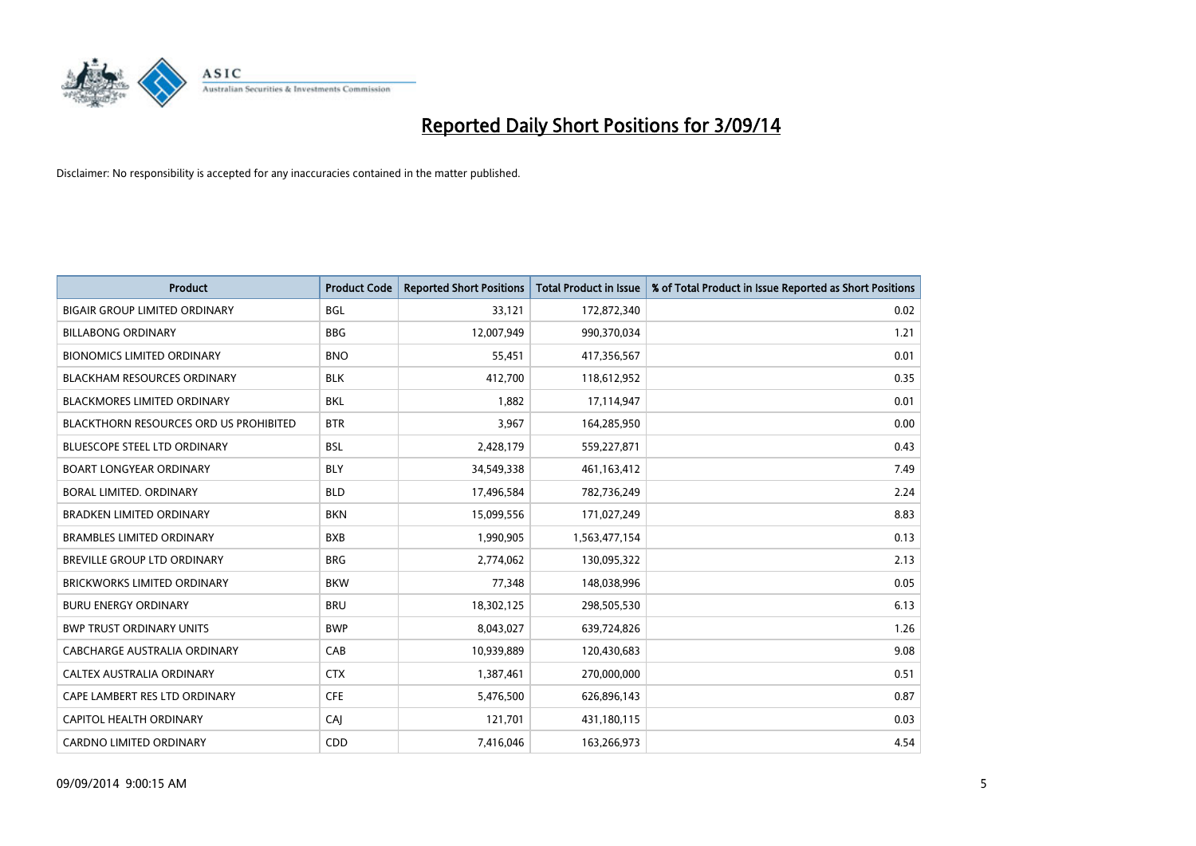

| <b>Product</b>                                | <b>Product Code</b> | <b>Reported Short Positions</b> | <b>Total Product in Issue</b> | % of Total Product in Issue Reported as Short Positions |
|-----------------------------------------------|---------------------|---------------------------------|-------------------------------|---------------------------------------------------------|
| <b>BIGAIR GROUP LIMITED ORDINARY</b>          | <b>BGL</b>          | 33,121                          | 172,872,340                   | 0.02                                                    |
| <b>BILLABONG ORDINARY</b>                     | <b>BBG</b>          | 12,007,949                      | 990,370,034                   | 1.21                                                    |
| <b>BIONOMICS LIMITED ORDINARY</b>             | <b>BNO</b>          | 55,451                          | 417,356,567                   | 0.01                                                    |
| BLACKHAM RESOURCES ORDINARY                   | <b>BLK</b>          | 412,700                         | 118,612,952                   | 0.35                                                    |
| <b>BLACKMORES LIMITED ORDINARY</b>            | <b>BKL</b>          | 1,882                           | 17,114,947                    | 0.01                                                    |
| <b>BLACKTHORN RESOURCES ORD US PROHIBITED</b> | <b>BTR</b>          | 3,967                           | 164,285,950                   | 0.00                                                    |
| <b>BLUESCOPE STEEL LTD ORDINARY</b>           | <b>BSL</b>          | 2,428,179                       | 559,227,871                   | 0.43                                                    |
| <b>BOART LONGYEAR ORDINARY</b>                | <b>BLY</b>          | 34,549,338                      | 461,163,412                   | 7.49                                                    |
| <b>BORAL LIMITED, ORDINARY</b>                | <b>BLD</b>          | 17,496,584                      | 782,736,249                   | 2.24                                                    |
| <b>BRADKEN LIMITED ORDINARY</b>               | <b>BKN</b>          | 15,099,556                      | 171,027,249                   | 8.83                                                    |
| <b>BRAMBLES LIMITED ORDINARY</b>              | <b>BXB</b>          | 1,990,905                       | 1,563,477,154                 | 0.13                                                    |
| <b>BREVILLE GROUP LTD ORDINARY</b>            | <b>BRG</b>          | 2,774,062                       | 130,095,322                   | 2.13                                                    |
| BRICKWORKS LIMITED ORDINARY                   | <b>BKW</b>          | 77,348                          | 148,038,996                   | 0.05                                                    |
| <b>BURU ENERGY ORDINARY</b>                   | <b>BRU</b>          | 18,302,125                      | 298,505,530                   | 6.13                                                    |
| <b>BWP TRUST ORDINARY UNITS</b>               | <b>BWP</b>          | 8,043,027                       | 639,724,826                   | 1.26                                                    |
| CABCHARGE AUSTRALIA ORDINARY                  | CAB                 | 10,939,889                      | 120,430,683                   | 9.08                                                    |
| CALTEX AUSTRALIA ORDINARY                     | <b>CTX</b>          | 1,387,461                       | 270,000,000                   | 0.51                                                    |
| CAPE LAMBERT RES LTD ORDINARY                 | <b>CFE</b>          | 5,476,500                       | 626,896,143                   | 0.87                                                    |
| CAPITOL HEALTH ORDINARY                       | <b>CAJ</b>          | 121,701                         | 431,180,115                   | 0.03                                                    |
| <b>CARDNO LIMITED ORDINARY</b>                | CDD                 | 7,416,046                       | 163,266,973                   | 4.54                                                    |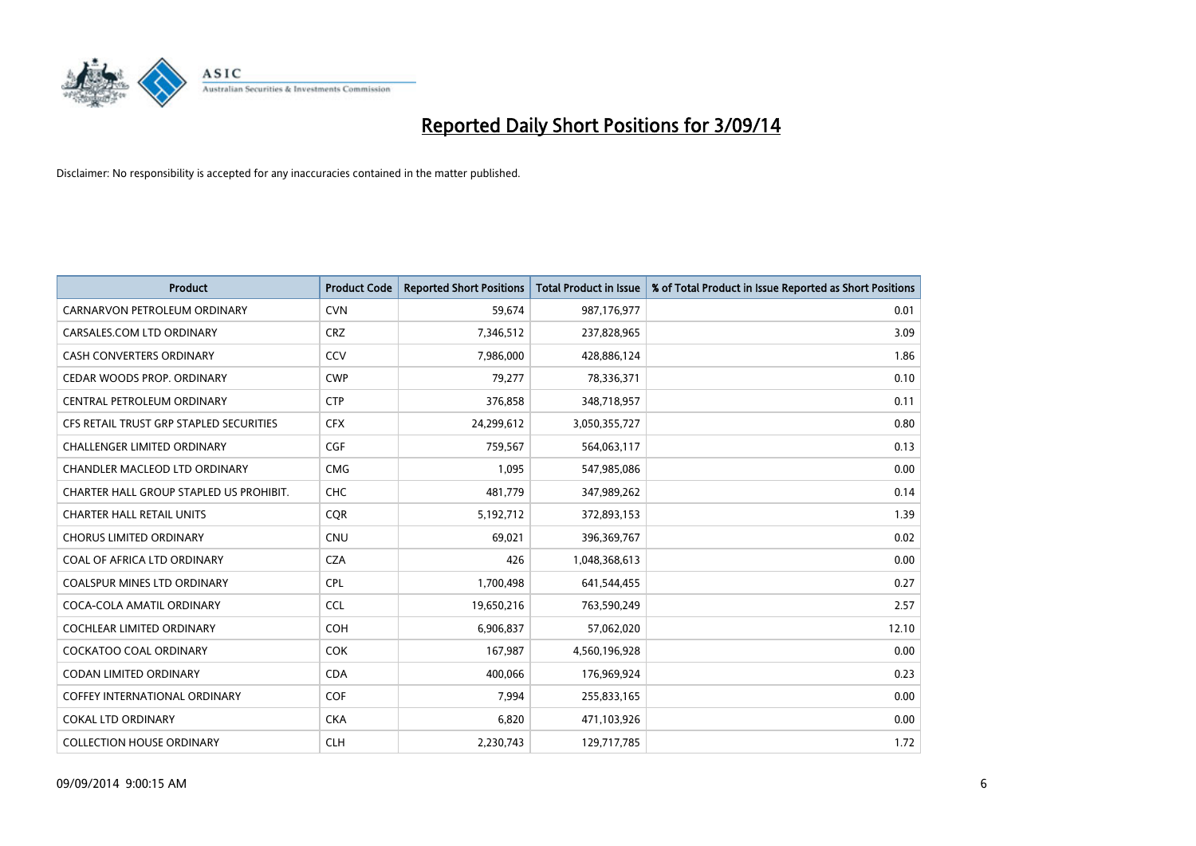

| <b>Product</b>                          | <b>Product Code</b> | <b>Reported Short Positions</b> | <b>Total Product in Issue</b> | % of Total Product in Issue Reported as Short Positions |
|-----------------------------------------|---------------------|---------------------------------|-------------------------------|---------------------------------------------------------|
| CARNARVON PETROLEUM ORDINARY            | <b>CVN</b>          | 59,674                          | 987,176,977                   | 0.01                                                    |
| CARSALES.COM LTD ORDINARY               | <b>CRZ</b>          | 7,346,512                       | 237,828,965                   | 3.09                                                    |
| CASH CONVERTERS ORDINARY                | CCV                 | 7,986,000                       | 428,886,124                   | 1.86                                                    |
| CEDAR WOODS PROP. ORDINARY              | <b>CWP</b>          | 79,277                          | 78,336,371                    | 0.10                                                    |
| CENTRAL PETROLEUM ORDINARY              | <b>CTP</b>          | 376,858                         | 348,718,957                   | 0.11                                                    |
| CFS RETAIL TRUST GRP STAPLED SECURITIES | <b>CFX</b>          | 24,299,612                      | 3,050,355,727                 | 0.80                                                    |
| CHALLENGER LIMITED ORDINARY             | <b>CGF</b>          | 759,567                         | 564,063,117                   | 0.13                                                    |
| CHANDLER MACLEOD LTD ORDINARY           | <b>CMG</b>          | 1,095                           | 547,985,086                   | 0.00                                                    |
| CHARTER HALL GROUP STAPLED US PROHIBIT. | <b>CHC</b>          | 481,779                         | 347,989,262                   | 0.14                                                    |
| <b>CHARTER HALL RETAIL UNITS</b>        | <b>CQR</b>          | 5,192,712                       | 372,893,153                   | 1.39                                                    |
| <b>CHORUS LIMITED ORDINARY</b>          | <b>CNU</b>          | 69,021                          | 396,369,767                   | 0.02                                                    |
| COAL OF AFRICA LTD ORDINARY             | <b>CZA</b>          | 426                             | 1,048,368,613                 | 0.00                                                    |
| <b>COALSPUR MINES LTD ORDINARY</b>      | <b>CPL</b>          | 1,700,498                       | 641,544,455                   | 0.27                                                    |
| COCA-COLA AMATIL ORDINARY               | <b>CCL</b>          | 19,650,216                      | 763,590,249                   | 2.57                                                    |
| <b>COCHLEAR LIMITED ORDINARY</b>        | COH                 | 6,906,837                       | 57,062,020                    | 12.10                                                   |
| <b>COCKATOO COAL ORDINARY</b>           | <b>COK</b>          | 167,987                         | 4,560,196,928                 | 0.00                                                    |
| CODAN LIMITED ORDINARY                  | <b>CDA</b>          | 400,066                         | 176,969,924                   | 0.23                                                    |
| <b>COFFEY INTERNATIONAL ORDINARY</b>    | <b>COF</b>          | 7,994                           | 255,833,165                   | 0.00                                                    |
| <b>COKAL LTD ORDINARY</b>               | <b>CKA</b>          | 6,820                           | 471,103,926                   | 0.00                                                    |
| <b>COLLECTION HOUSE ORDINARY</b>        | <b>CLH</b>          | 2,230,743                       | 129,717,785                   | 1.72                                                    |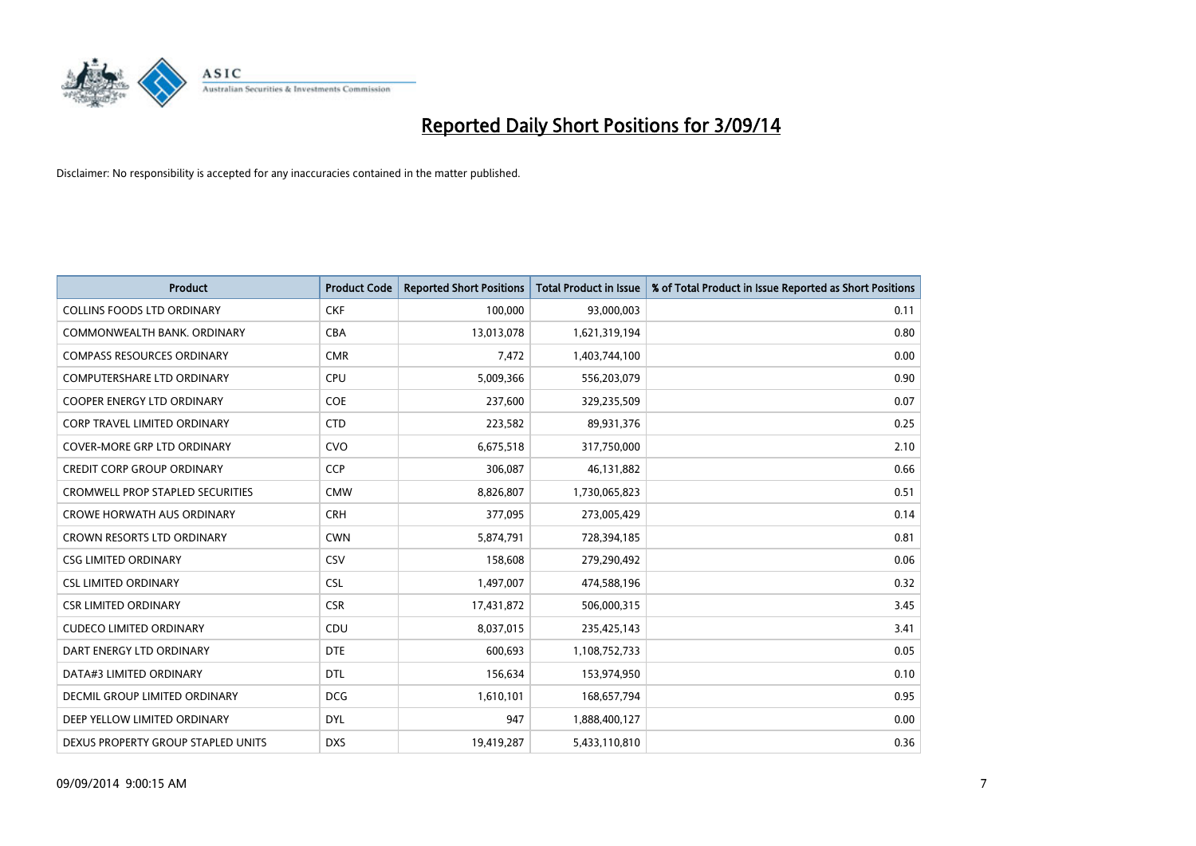

| <b>Product</b>                          | <b>Product Code</b> | <b>Reported Short Positions</b> | <b>Total Product in Issue</b> | % of Total Product in Issue Reported as Short Positions |
|-----------------------------------------|---------------------|---------------------------------|-------------------------------|---------------------------------------------------------|
| <b>COLLINS FOODS LTD ORDINARY</b>       | <b>CKF</b>          | 100,000                         | 93,000,003                    | 0.11                                                    |
| COMMONWEALTH BANK, ORDINARY             | <b>CBA</b>          | 13,013,078                      | 1,621,319,194                 | 0.80                                                    |
| <b>COMPASS RESOURCES ORDINARY</b>       | <b>CMR</b>          | 7,472                           | 1,403,744,100                 | 0.00                                                    |
| <b>COMPUTERSHARE LTD ORDINARY</b>       | <b>CPU</b>          | 5,009,366                       | 556,203,079                   | 0.90                                                    |
| <b>COOPER ENERGY LTD ORDINARY</b>       | <b>COE</b>          | 237,600                         | 329,235,509                   | 0.07                                                    |
| <b>CORP TRAVEL LIMITED ORDINARY</b>     | <b>CTD</b>          | 223,582                         | 89,931,376                    | 0.25                                                    |
| COVER-MORE GRP LTD ORDINARY             | <b>CVO</b>          | 6,675,518                       | 317,750,000                   | 2.10                                                    |
| <b>CREDIT CORP GROUP ORDINARY</b>       | <b>CCP</b>          | 306,087                         | 46,131,882                    | 0.66                                                    |
| <b>CROMWELL PROP STAPLED SECURITIES</b> | <b>CMW</b>          | 8,826,807                       | 1,730,065,823                 | 0.51                                                    |
| <b>CROWE HORWATH AUS ORDINARY</b>       | <b>CRH</b>          | 377,095                         | 273,005,429                   | 0.14                                                    |
| CROWN RESORTS LTD ORDINARY              | <b>CWN</b>          | 5,874,791                       | 728,394,185                   | 0.81                                                    |
| <b>CSG LIMITED ORDINARY</b>             | CSV                 | 158,608                         | 279,290,492                   | 0.06                                                    |
| <b>CSL LIMITED ORDINARY</b>             | <b>CSL</b>          | 1,497,007                       | 474,588,196                   | 0.32                                                    |
| <b>CSR LIMITED ORDINARY</b>             | <b>CSR</b>          | 17,431,872                      | 506,000,315                   | 3.45                                                    |
| <b>CUDECO LIMITED ORDINARY</b>          | CDU                 | 8,037,015                       | 235,425,143                   | 3.41                                                    |
| DART ENERGY LTD ORDINARY                | <b>DTE</b>          | 600,693                         | 1,108,752,733                 | 0.05                                                    |
| DATA#3 LIMITED ORDINARY                 | DTL                 | 156,634                         | 153,974,950                   | 0.10                                                    |
| DECMIL GROUP LIMITED ORDINARY           | <b>DCG</b>          | 1,610,101                       | 168,657,794                   | 0.95                                                    |
| DEEP YELLOW LIMITED ORDINARY            | <b>DYL</b>          | 947                             | 1,888,400,127                 | 0.00                                                    |
| DEXUS PROPERTY GROUP STAPLED UNITS      | <b>DXS</b>          | 19,419,287                      | 5,433,110,810                 | 0.36                                                    |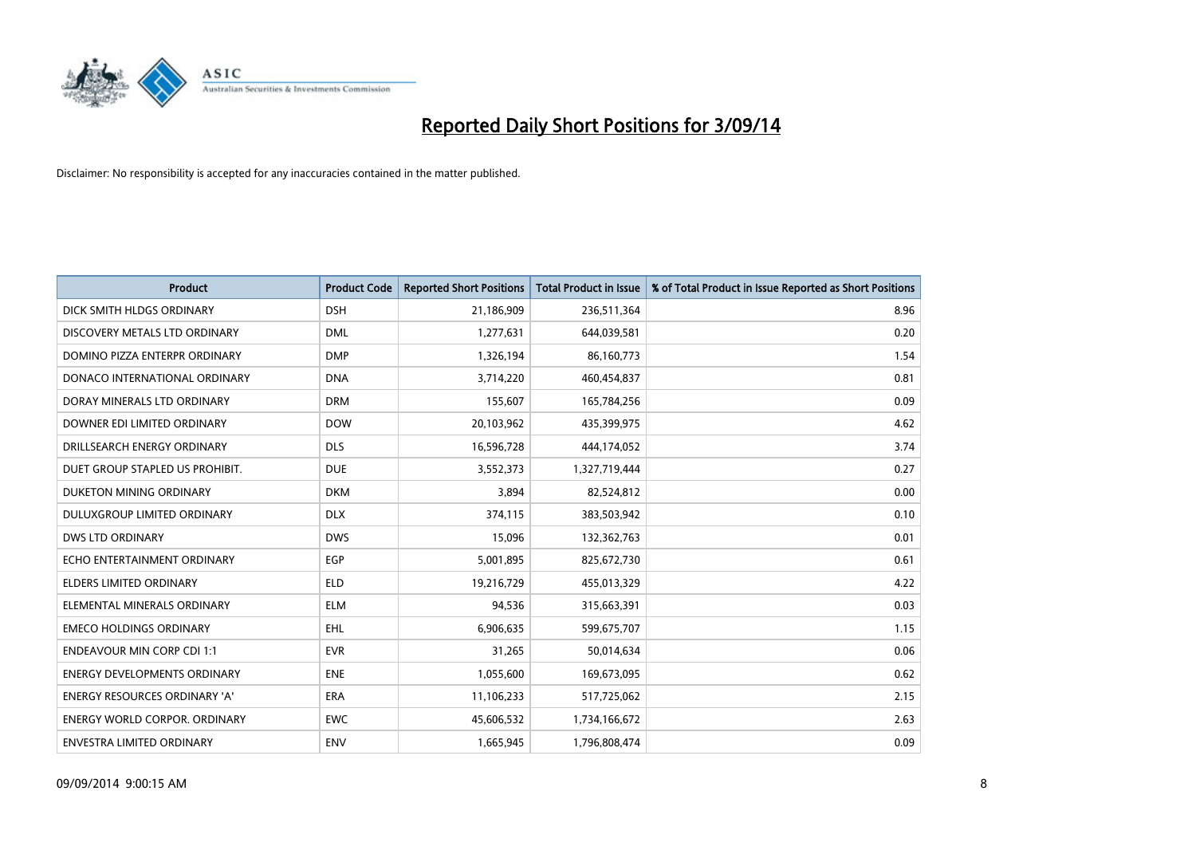

| <b>Product</b>                       | <b>Product Code</b> | <b>Reported Short Positions</b> | <b>Total Product in Issue</b> | % of Total Product in Issue Reported as Short Positions |
|--------------------------------------|---------------------|---------------------------------|-------------------------------|---------------------------------------------------------|
| DICK SMITH HLDGS ORDINARY            | <b>DSH</b>          | 21,186,909                      | 236,511,364                   | 8.96                                                    |
| DISCOVERY METALS LTD ORDINARY        | <b>DML</b>          | 1,277,631                       | 644,039,581                   | 0.20                                                    |
| DOMINO PIZZA ENTERPR ORDINARY        | <b>DMP</b>          | 1,326,194                       | 86,160,773                    | 1.54                                                    |
| DONACO INTERNATIONAL ORDINARY        | <b>DNA</b>          | 3,714,220                       | 460,454,837                   | 0.81                                                    |
| DORAY MINERALS LTD ORDINARY          | <b>DRM</b>          | 155,607                         | 165,784,256                   | 0.09                                                    |
| DOWNER EDI LIMITED ORDINARY          | <b>DOW</b>          | 20,103,962                      | 435,399,975                   | 4.62                                                    |
| DRILLSEARCH ENERGY ORDINARY          | <b>DLS</b>          | 16,596,728                      | 444,174,052                   | 3.74                                                    |
| DUET GROUP STAPLED US PROHIBIT.      | <b>DUE</b>          | 3,552,373                       | 1,327,719,444                 | 0.27                                                    |
| DUKETON MINING ORDINARY              | <b>DKM</b>          | 3,894                           | 82,524,812                    | 0.00                                                    |
| DULUXGROUP LIMITED ORDINARY          | <b>DLX</b>          | 374,115                         | 383,503,942                   | 0.10                                                    |
| <b>DWS LTD ORDINARY</b>              | <b>DWS</b>          | 15,096                          | 132,362,763                   | 0.01                                                    |
| ECHO ENTERTAINMENT ORDINARY          | <b>EGP</b>          | 5,001,895                       | 825,672,730                   | 0.61                                                    |
| <b>ELDERS LIMITED ORDINARY</b>       | <b>ELD</b>          | 19,216,729                      | 455,013,329                   | 4.22                                                    |
| ELEMENTAL MINERALS ORDINARY          | <b>ELM</b>          | 94,536                          | 315,663,391                   | 0.03                                                    |
| <b>EMECO HOLDINGS ORDINARY</b>       | <b>EHL</b>          | 6,906,635                       | 599,675,707                   | 1.15                                                    |
| ENDEAVOUR MIN CORP CDI 1:1           | <b>EVR</b>          | 31,265                          | 50,014,634                    | 0.06                                                    |
| ENERGY DEVELOPMENTS ORDINARY         | <b>ENE</b>          | 1,055,600                       | 169,673,095                   | 0.62                                                    |
| ENERGY RESOURCES ORDINARY 'A'        | <b>ERA</b>          | 11,106,233                      | 517,725,062                   | 2.15                                                    |
| <b>ENERGY WORLD CORPOR, ORDINARY</b> | <b>EWC</b>          | 45,606,532                      | 1,734,166,672                 | 2.63                                                    |
| ENVESTRA LIMITED ORDINARY            | ENV                 | 1,665,945                       | 1,796,808,474                 | 0.09                                                    |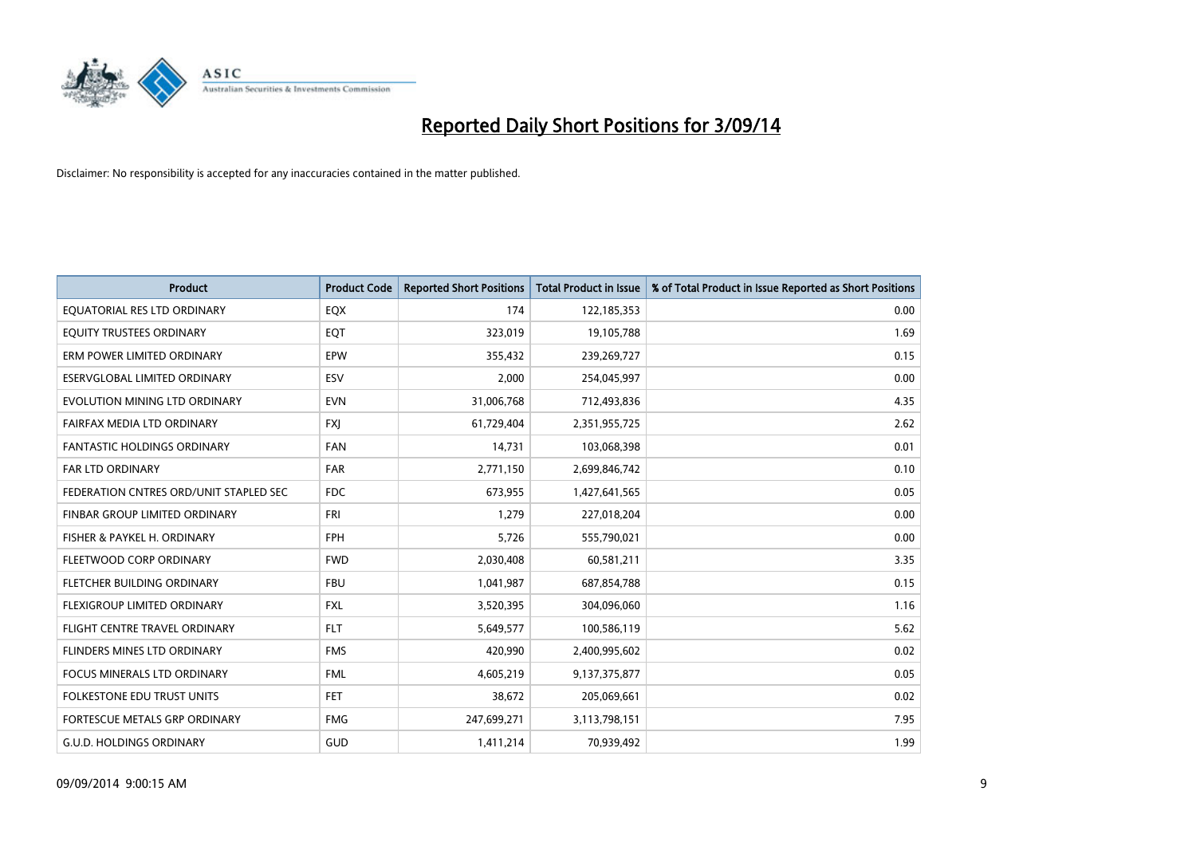

| <b>Product</b>                         | <b>Product Code</b> | <b>Reported Short Positions</b> | <b>Total Product in Issue</b> | % of Total Product in Issue Reported as Short Positions |
|----------------------------------------|---------------------|---------------------------------|-------------------------------|---------------------------------------------------------|
| EQUATORIAL RES LTD ORDINARY            | EQX                 | 174                             | 122,185,353                   | 0.00                                                    |
| EQUITY TRUSTEES ORDINARY               | EQT                 | 323,019                         | 19,105,788                    | 1.69                                                    |
| ERM POWER LIMITED ORDINARY             | EPW                 | 355,432                         | 239,269,727                   | 0.15                                                    |
| ESERVGLOBAL LIMITED ORDINARY           | ESV                 | 2,000                           | 254,045,997                   | 0.00                                                    |
| EVOLUTION MINING LTD ORDINARY          | <b>EVN</b>          | 31,006,768                      | 712,493,836                   | 4.35                                                    |
| FAIRFAX MEDIA LTD ORDINARY             | <b>FXI</b>          | 61,729,404                      | 2,351,955,725                 | 2.62                                                    |
| <b>FANTASTIC HOLDINGS ORDINARY</b>     | <b>FAN</b>          | 14,731                          | 103,068,398                   | 0.01                                                    |
| FAR LTD ORDINARY                       | <b>FAR</b>          | 2,771,150                       | 2,699,846,742                 | 0.10                                                    |
| FEDERATION CNTRES ORD/UNIT STAPLED SEC | <b>FDC</b>          | 673,955                         | 1,427,641,565                 | 0.05                                                    |
| FINBAR GROUP LIMITED ORDINARY          | <b>FRI</b>          | 1,279                           | 227,018,204                   | 0.00                                                    |
| FISHER & PAYKEL H. ORDINARY            | <b>FPH</b>          | 5,726                           | 555,790,021                   | 0.00                                                    |
| FLEETWOOD CORP ORDINARY                | <b>FWD</b>          | 2,030,408                       | 60,581,211                    | 3.35                                                    |
| FLETCHER BUILDING ORDINARY             | <b>FBU</b>          | 1,041,987                       | 687,854,788                   | 0.15                                                    |
| <b>FLEXIGROUP LIMITED ORDINARY</b>     | <b>FXL</b>          | 3,520,395                       | 304,096,060                   | 1.16                                                    |
| FLIGHT CENTRE TRAVEL ORDINARY          | <b>FLT</b>          | 5,649,577                       | 100,586,119                   | 5.62                                                    |
| FLINDERS MINES LTD ORDINARY            | <b>FMS</b>          | 420,990                         | 2,400,995,602                 | 0.02                                                    |
| FOCUS MINERALS LTD ORDINARY            | <b>FML</b>          | 4,605,219                       | 9,137,375,877                 | 0.05                                                    |
| FOLKESTONE EDU TRUST UNITS             | <b>FET</b>          | 38,672                          | 205,069,661                   | 0.02                                                    |
| FORTESCUE METALS GRP ORDINARY          | <b>FMG</b>          | 247,699,271                     | 3,113,798,151                 | 7.95                                                    |
| <b>G.U.D. HOLDINGS ORDINARY</b>        | GUD                 | 1,411,214                       | 70,939,492                    | 1.99                                                    |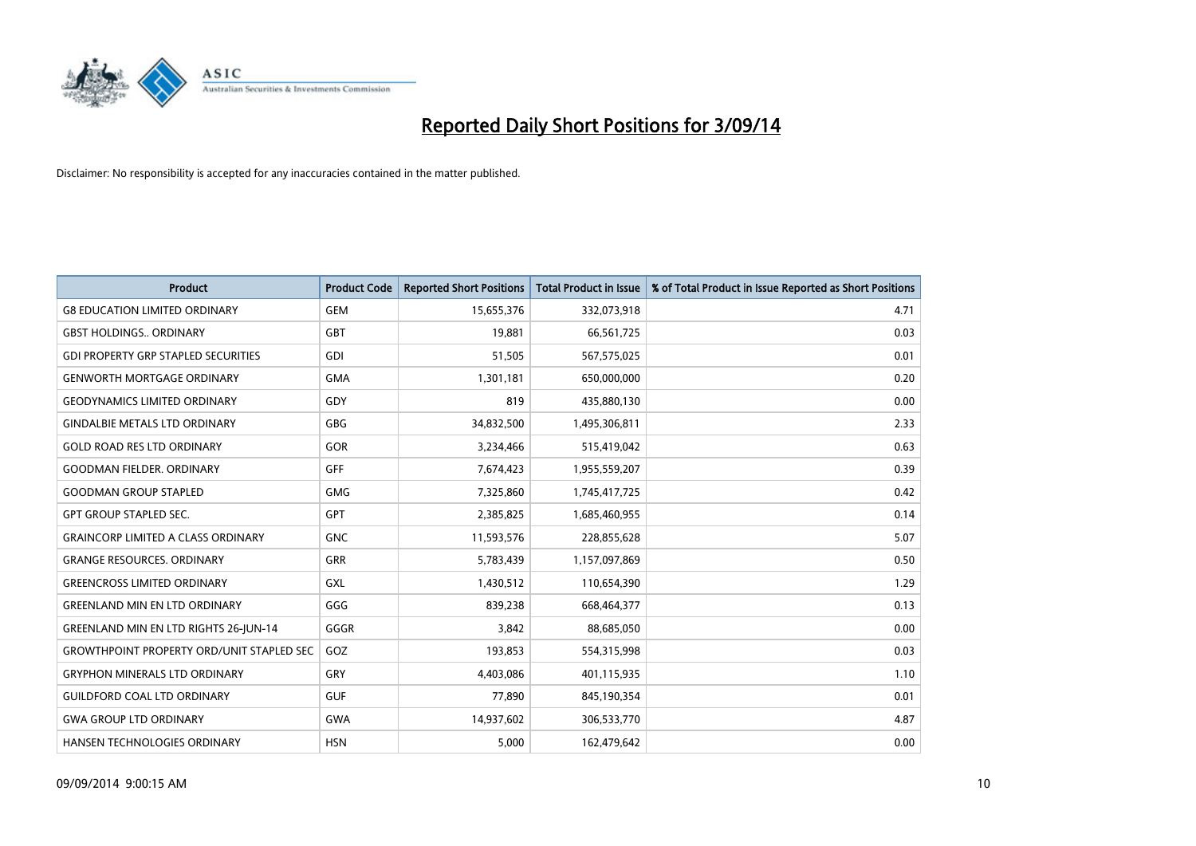

| <b>Product</b>                                   | <b>Product Code</b> | <b>Reported Short Positions</b> | <b>Total Product in Issue</b> | % of Total Product in Issue Reported as Short Positions |
|--------------------------------------------------|---------------------|---------------------------------|-------------------------------|---------------------------------------------------------|
| <b>G8 EDUCATION LIMITED ORDINARY</b>             | <b>GEM</b>          | 15,655,376                      | 332,073,918                   | 4.71                                                    |
| <b>GBST HOLDINGS ORDINARY</b>                    | GBT                 | 19,881                          | 66,561,725                    | 0.03                                                    |
| <b>GDI PROPERTY GRP STAPLED SECURITIES</b>       | GDI                 | 51,505                          | 567,575,025                   | 0.01                                                    |
| <b>GENWORTH MORTGAGE ORDINARY</b>                | <b>GMA</b>          | 1,301,181                       | 650,000,000                   | 0.20                                                    |
| <b>GEODYNAMICS LIMITED ORDINARY</b>              | GDY                 | 819                             | 435,880,130                   | 0.00                                                    |
| <b>GINDALBIE METALS LTD ORDINARY</b>             | <b>GBG</b>          | 34,832,500                      | 1,495,306,811                 | 2.33                                                    |
| <b>GOLD ROAD RES LTD ORDINARY</b>                | <b>GOR</b>          | 3,234,466                       | 515,419,042                   | 0.63                                                    |
| <b>GOODMAN FIELDER, ORDINARY</b>                 | GFF                 | 7,674,423                       | 1,955,559,207                 | 0.39                                                    |
| <b>GOODMAN GROUP STAPLED</b>                     | <b>GMG</b>          | 7,325,860                       | 1,745,417,725                 | 0.42                                                    |
| <b>GPT GROUP STAPLED SEC.</b>                    | GPT                 | 2,385,825                       | 1,685,460,955                 | 0.14                                                    |
| <b>GRAINCORP LIMITED A CLASS ORDINARY</b>        | <b>GNC</b>          | 11,593,576                      | 228,855,628                   | 5.07                                                    |
| <b>GRANGE RESOURCES, ORDINARY</b>                | <b>GRR</b>          | 5,783,439                       | 1,157,097,869                 | 0.50                                                    |
| <b>GREENCROSS LIMITED ORDINARY</b>               | GXL                 | 1,430,512                       | 110,654,390                   | 1.29                                                    |
| <b>GREENLAND MIN EN LTD ORDINARY</b>             | GGG                 | 839,238                         | 668,464,377                   | 0.13                                                    |
| <b>GREENLAND MIN EN LTD RIGHTS 26-JUN-14</b>     | GGGR                | 3,842                           | 88,685,050                    | 0.00                                                    |
| <b>GROWTHPOINT PROPERTY ORD/UNIT STAPLED SEC</b> | GOZ                 | 193,853                         | 554,315,998                   | 0.03                                                    |
| <b>GRYPHON MINERALS LTD ORDINARY</b>             | GRY                 | 4,403,086                       | 401,115,935                   | 1.10                                                    |
| <b>GUILDFORD COAL LTD ORDINARY</b>               | <b>GUF</b>          | 77,890                          | 845,190,354                   | 0.01                                                    |
| <b>GWA GROUP LTD ORDINARY</b>                    | <b>GWA</b>          | 14,937,602                      | 306,533,770                   | 4.87                                                    |
| <b>HANSEN TECHNOLOGIES ORDINARY</b>              | <b>HSN</b>          | 5,000                           | 162,479,642                   | 0.00                                                    |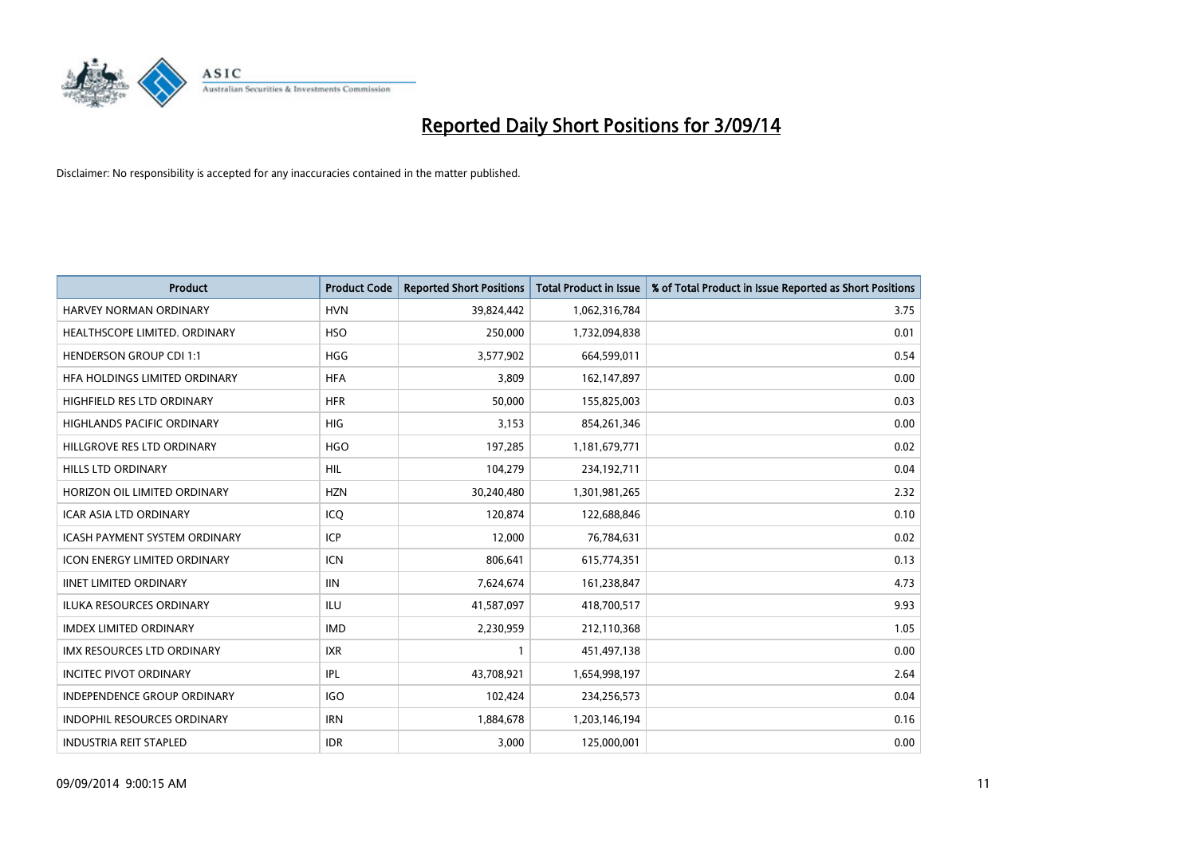

| <b>Product</b>                       | <b>Product Code</b> | <b>Reported Short Positions</b> | <b>Total Product in Issue</b> | % of Total Product in Issue Reported as Short Positions |
|--------------------------------------|---------------------|---------------------------------|-------------------------------|---------------------------------------------------------|
| <b>HARVEY NORMAN ORDINARY</b>        | <b>HVN</b>          | 39,824,442                      | 1,062,316,784                 | 3.75                                                    |
| HEALTHSCOPE LIMITED. ORDINARY        | <b>HSO</b>          | 250,000                         | 1,732,094,838                 | 0.01                                                    |
| <b>HENDERSON GROUP CDI 1:1</b>       | <b>HGG</b>          | 3,577,902                       | 664,599,011                   | 0.54                                                    |
| HFA HOLDINGS LIMITED ORDINARY        | <b>HFA</b>          | 3,809                           | 162,147,897                   | 0.00                                                    |
| HIGHFIELD RES LTD ORDINARY           | <b>HFR</b>          | 50,000                          | 155,825,003                   | 0.03                                                    |
| <b>HIGHLANDS PACIFIC ORDINARY</b>    | <b>HIG</b>          | 3,153                           | 854,261,346                   | 0.00                                                    |
| HILLGROVE RES LTD ORDINARY           | <b>HGO</b>          | 197,285                         | 1,181,679,771                 | 0.02                                                    |
| HILLS LTD ORDINARY                   | <b>HIL</b>          | 104,279                         | 234,192,711                   | 0.04                                                    |
| HORIZON OIL LIMITED ORDINARY         | <b>HZN</b>          | 30,240,480                      | 1,301,981,265                 | 2.32                                                    |
| <b>ICAR ASIA LTD ORDINARY</b>        | ICQ                 | 120,874                         | 122,688,846                   | 0.10                                                    |
| <b>ICASH PAYMENT SYSTEM ORDINARY</b> | <b>ICP</b>          | 12,000                          | 76,784,631                    | 0.02                                                    |
| <b>ICON ENERGY LIMITED ORDINARY</b>  | <b>ICN</b>          | 806,641                         | 615,774,351                   | 0.13                                                    |
| <b>IINET LIMITED ORDINARY</b>        | <b>IIN</b>          | 7,624,674                       | 161,238,847                   | 4.73                                                    |
| <b>ILUKA RESOURCES ORDINARY</b>      | ILU                 | 41,587,097                      | 418,700,517                   | 9.93                                                    |
| <b>IMDEX LIMITED ORDINARY</b>        | <b>IMD</b>          | 2,230,959                       | 212,110,368                   | 1.05                                                    |
| IMX RESOURCES LTD ORDINARY           | <b>IXR</b>          |                                 | 451,497,138                   | 0.00                                                    |
| <b>INCITEC PIVOT ORDINARY</b>        | <b>IPL</b>          | 43,708,921                      | 1,654,998,197                 | 2.64                                                    |
| INDEPENDENCE GROUP ORDINARY          | <b>IGO</b>          | 102,424                         | 234,256,573                   | 0.04                                                    |
| <b>INDOPHIL RESOURCES ORDINARY</b>   | <b>IRN</b>          | 1,884,678                       | 1,203,146,194                 | 0.16                                                    |
| <b>INDUSTRIA REIT STAPLED</b>        | <b>IDR</b>          | 3,000                           | 125,000,001                   | 0.00                                                    |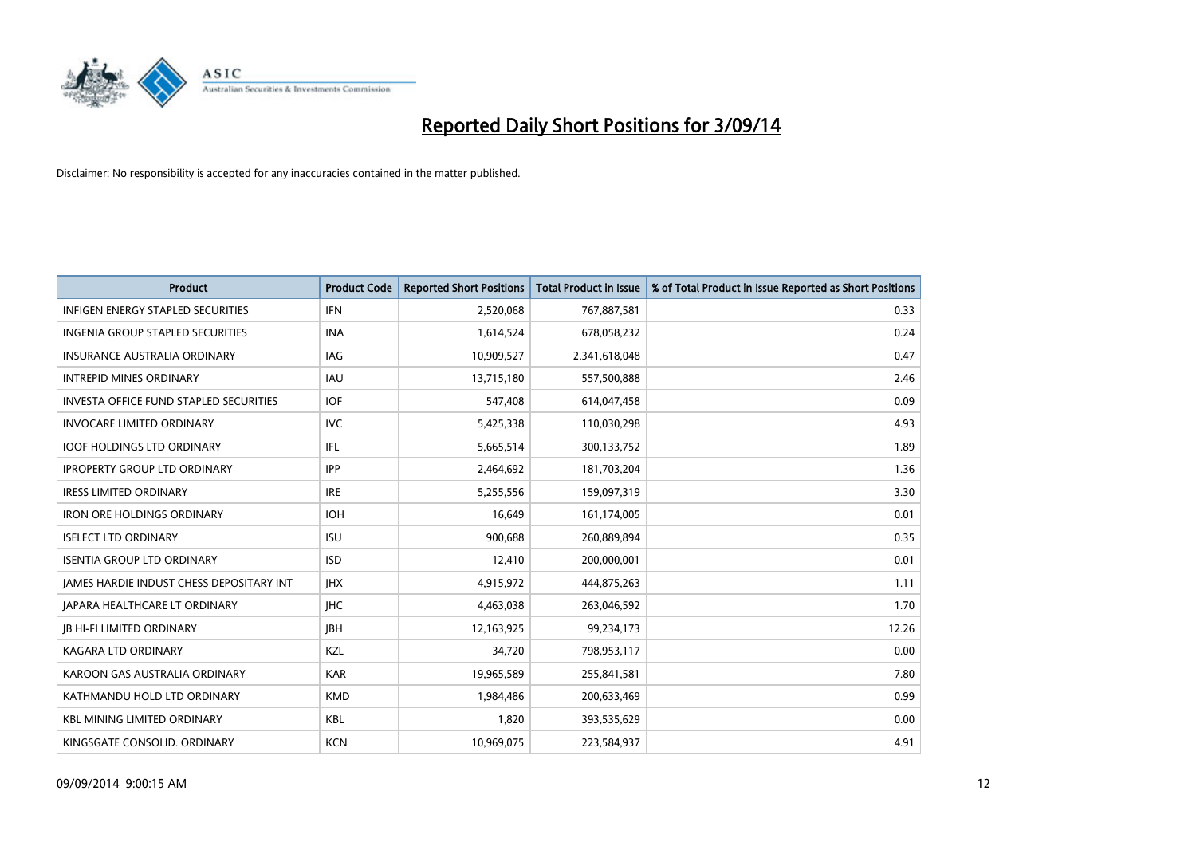

| <b>Product</b>                                | <b>Product Code</b> | <b>Reported Short Positions</b> | <b>Total Product in Issue</b> | % of Total Product in Issue Reported as Short Positions |
|-----------------------------------------------|---------------------|---------------------------------|-------------------------------|---------------------------------------------------------|
| <b>INFIGEN ENERGY STAPLED SECURITIES</b>      | <b>IFN</b>          | 2,520,068                       | 767,887,581                   | 0.33                                                    |
| INGENIA GROUP STAPLED SECURITIES              | <b>INA</b>          | 1,614,524                       | 678,058,232                   | 0.24                                                    |
| <b>INSURANCE AUSTRALIA ORDINARY</b>           | IAG                 | 10,909,527                      | 2,341,618,048                 | 0.47                                                    |
| <b>INTREPID MINES ORDINARY</b>                | <b>IAU</b>          | 13,715,180                      | 557,500,888                   | 2.46                                                    |
| <b>INVESTA OFFICE FUND STAPLED SECURITIES</b> | <b>IOF</b>          | 547,408                         | 614,047,458                   | 0.09                                                    |
| <b>INVOCARE LIMITED ORDINARY</b>              | <b>IVC</b>          | 5,425,338                       | 110,030,298                   | 4.93                                                    |
| <b>IOOF HOLDINGS LTD ORDINARY</b>             | IFL                 | 5,665,514                       | 300,133,752                   | 1.89                                                    |
| <b>IPROPERTY GROUP LTD ORDINARY</b>           | <b>IPP</b>          | 2,464,692                       | 181,703,204                   | 1.36                                                    |
| <b>IRESS LIMITED ORDINARY</b>                 | <b>IRE</b>          | 5,255,556                       | 159,097,319                   | 3.30                                                    |
| <b>IRON ORE HOLDINGS ORDINARY</b>             | <b>IOH</b>          | 16,649                          | 161,174,005                   | 0.01                                                    |
| <b>ISELECT LTD ORDINARY</b>                   | <b>ISU</b>          | 900,688                         | 260,889,894                   | 0.35                                                    |
| <b>ISENTIA GROUP LTD ORDINARY</b>             | <b>ISD</b>          | 12,410                          | 200,000,001                   | 0.01                                                    |
| JAMES HARDIE INDUST CHESS DEPOSITARY INT      | <b>IHX</b>          | 4,915,972                       | 444,875,263                   | 1.11                                                    |
| <b>JAPARA HEALTHCARE LT ORDINARY</b>          | <b>IHC</b>          | 4,463,038                       | 263,046,592                   | 1.70                                                    |
| <b>JB HI-FI LIMITED ORDINARY</b>              | <b>IBH</b>          | 12,163,925                      | 99,234,173                    | 12.26                                                   |
| KAGARA LTD ORDINARY                           | KZL                 | 34,720                          | 798,953,117                   | 0.00                                                    |
| KAROON GAS AUSTRALIA ORDINARY                 | <b>KAR</b>          | 19,965,589                      | 255,841,581                   | 7.80                                                    |
| KATHMANDU HOLD LTD ORDINARY                   | <b>KMD</b>          | 1,984,486                       | 200,633,469                   | 0.99                                                    |
| <b>KBL MINING LIMITED ORDINARY</b>            | <b>KBL</b>          | 1,820                           | 393,535,629                   | 0.00                                                    |
| KINGSGATE CONSOLID. ORDINARY                  | <b>KCN</b>          | 10,969,075                      | 223,584,937                   | 4.91                                                    |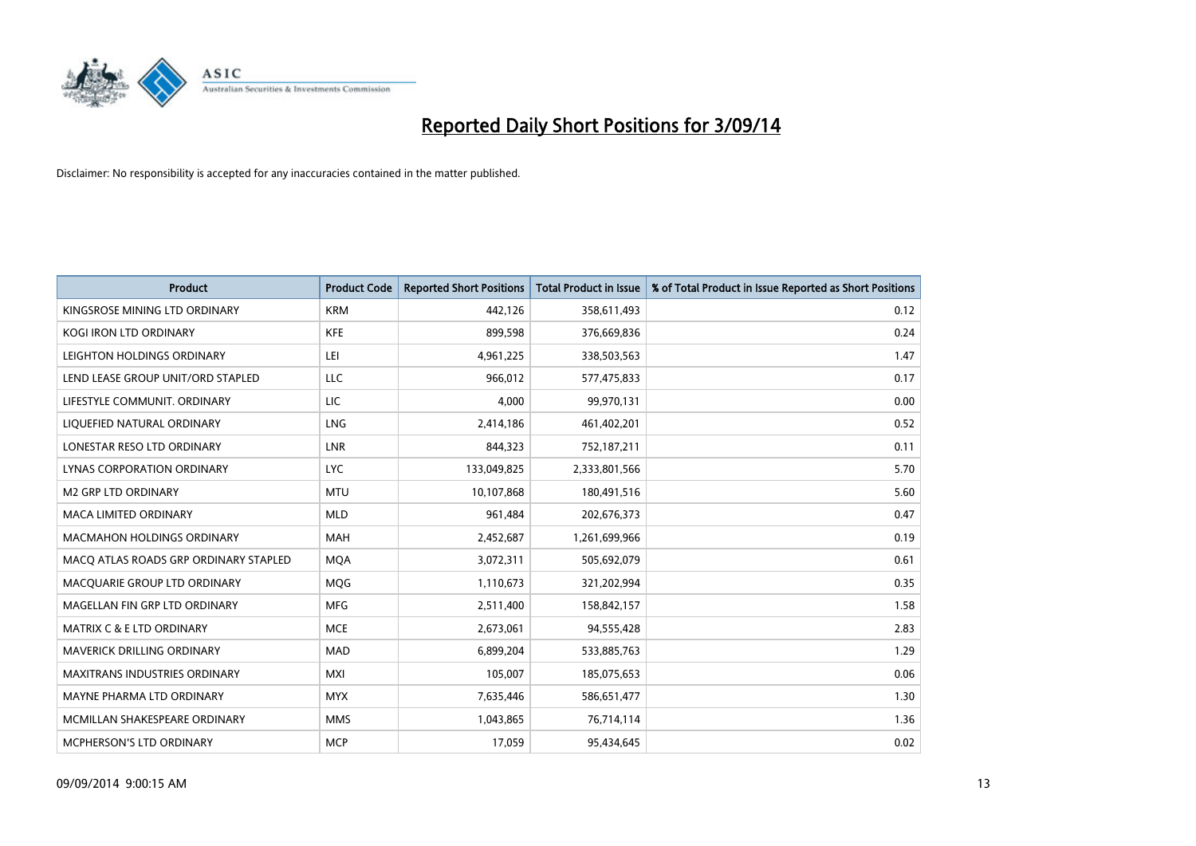

| <b>Product</b>                        | <b>Product Code</b> | <b>Reported Short Positions</b> | <b>Total Product in Issue</b> | % of Total Product in Issue Reported as Short Positions |
|---------------------------------------|---------------------|---------------------------------|-------------------------------|---------------------------------------------------------|
| KINGSROSE MINING LTD ORDINARY         | <b>KRM</b>          | 442,126                         | 358,611,493                   | 0.12                                                    |
| KOGI IRON LTD ORDINARY                | KFE                 | 899,598                         | 376,669,836                   | 0.24                                                    |
| LEIGHTON HOLDINGS ORDINARY            | LEI                 | 4,961,225                       | 338,503,563                   | 1.47                                                    |
| LEND LEASE GROUP UNIT/ORD STAPLED     | <b>LLC</b>          | 966,012                         | 577,475,833                   | 0.17                                                    |
| LIFESTYLE COMMUNIT, ORDINARY          | LIC                 | 4,000                           | 99,970,131                    | 0.00                                                    |
| LIQUEFIED NATURAL ORDINARY            | LNG                 | 2,414,186                       | 461,402,201                   | 0.52                                                    |
| LONESTAR RESO LTD ORDINARY            | <b>LNR</b>          | 844,323                         | 752,187,211                   | 0.11                                                    |
| LYNAS CORPORATION ORDINARY            | <b>LYC</b>          | 133,049,825                     | 2,333,801,566                 | 5.70                                                    |
| <b>M2 GRP LTD ORDINARY</b>            | <b>MTU</b>          | 10,107,868                      | 180,491,516                   | 5.60                                                    |
| <b>MACA LIMITED ORDINARY</b>          | <b>MLD</b>          | 961,484                         | 202,676,373                   | 0.47                                                    |
| MACMAHON HOLDINGS ORDINARY            | MAH                 | 2,452,687                       | 1,261,699,966                 | 0.19                                                    |
| MACO ATLAS ROADS GRP ORDINARY STAPLED | <b>MQA</b>          | 3,072,311                       | 505,692,079                   | 0.61                                                    |
| MACQUARIE GROUP LTD ORDINARY          | <b>MOG</b>          | 1,110,673                       | 321,202,994                   | 0.35                                                    |
| MAGELLAN FIN GRP LTD ORDINARY         | <b>MFG</b>          | 2,511,400                       | 158,842,157                   | 1.58                                                    |
| <b>MATRIX C &amp; E LTD ORDINARY</b>  | <b>MCE</b>          | 2,673,061                       | 94,555,428                    | 2.83                                                    |
| MAVERICK DRILLING ORDINARY            | <b>MAD</b>          | 6,899,204                       | 533,885,763                   | 1.29                                                    |
| MAXITRANS INDUSTRIES ORDINARY         | <b>MXI</b>          | 105,007                         | 185,075,653                   | 0.06                                                    |
| MAYNE PHARMA LTD ORDINARY             | <b>MYX</b>          | 7,635,446                       | 586,651,477                   | 1.30                                                    |
| MCMILLAN SHAKESPEARE ORDINARY         | <b>MMS</b>          | 1,043,865                       | 76,714,114                    | 1.36                                                    |
| MCPHERSON'S LTD ORDINARY              | <b>MCP</b>          | 17,059                          | 95,434,645                    | 0.02                                                    |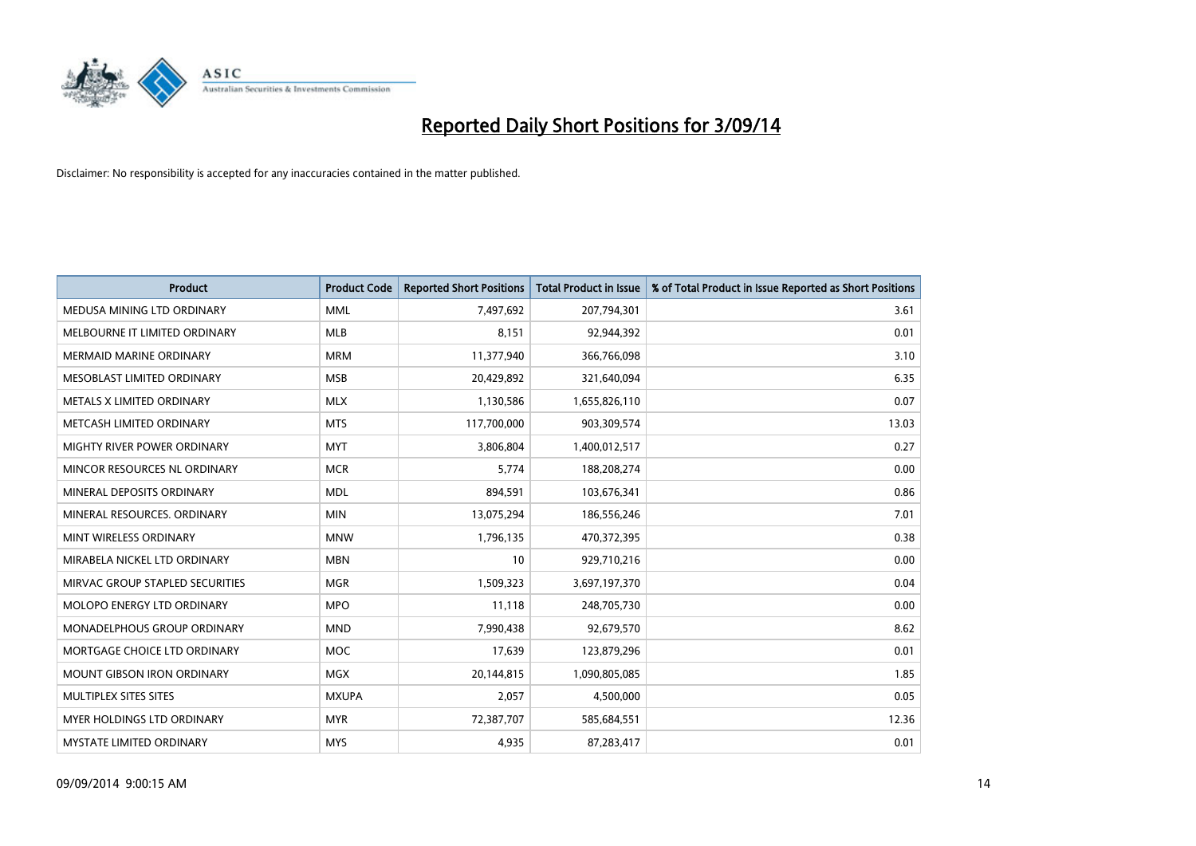

| <b>Product</b>                  | <b>Product Code</b> | <b>Reported Short Positions</b> | <b>Total Product in Issue</b> | % of Total Product in Issue Reported as Short Positions |
|---------------------------------|---------------------|---------------------------------|-------------------------------|---------------------------------------------------------|
| MEDUSA MINING LTD ORDINARY      | <b>MML</b>          | 7,497,692                       | 207,794,301                   | 3.61                                                    |
| MELBOURNE IT LIMITED ORDINARY   | <b>MLB</b>          | 8,151                           | 92,944,392                    | 0.01                                                    |
| <b>MERMAID MARINE ORDINARY</b>  | <b>MRM</b>          | 11,377,940                      | 366,766,098                   | 3.10                                                    |
| MESOBLAST LIMITED ORDINARY      | <b>MSB</b>          | 20,429,892                      | 321,640,094                   | 6.35                                                    |
| METALS X LIMITED ORDINARY       | <b>MLX</b>          | 1,130,586                       | 1,655,826,110                 | 0.07                                                    |
| METCASH LIMITED ORDINARY        | <b>MTS</b>          | 117,700,000                     | 903,309,574                   | 13.03                                                   |
| MIGHTY RIVER POWER ORDINARY     | <b>MYT</b>          | 3,806,804                       | 1,400,012,517                 | 0.27                                                    |
| MINCOR RESOURCES NL ORDINARY    | <b>MCR</b>          | 5,774                           | 188,208,274                   | 0.00                                                    |
| MINERAL DEPOSITS ORDINARY       | <b>MDL</b>          | 894,591                         | 103,676,341                   | 0.86                                                    |
| MINERAL RESOURCES, ORDINARY     | <b>MIN</b>          | 13,075,294                      | 186,556,246                   | 7.01                                                    |
| MINT WIRELESS ORDINARY          | <b>MNW</b>          | 1,796,135                       | 470,372,395                   | 0.38                                                    |
| MIRABELA NICKEL LTD ORDINARY    | <b>MBN</b>          | 10                              | 929,710,216                   | 0.00                                                    |
| MIRVAC GROUP STAPLED SECURITIES | <b>MGR</b>          | 1,509,323                       | 3,697,197,370                 | 0.04                                                    |
| MOLOPO ENERGY LTD ORDINARY      | <b>MPO</b>          | 11,118                          | 248,705,730                   | 0.00                                                    |
| MONADELPHOUS GROUP ORDINARY     | <b>MND</b>          | 7,990,438                       | 92,679,570                    | 8.62                                                    |
| MORTGAGE CHOICE LTD ORDINARY    | <b>MOC</b>          | 17,639                          | 123,879,296                   | 0.01                                                    |
| MOUNT GIBSON IRON ORDINARY      | <b>MGX</b>          | 20,144,815                      | 1,090,805,085                 | 1.85                                                    |
| MULTIPLEX SITES SITES           | <b>MXUPA</b>        | 2,057                           | 4,500,000                     | 0.05                                                    |
| MYER HOLDINGS LTD ORDINARY      | <b>MYR</b>          | 72,387,707                      | 585,684,551                   | 12.36                                                   |
| MYSTATE LIMITED ORDINARY        | <b>MYS</b>          | 4,935                           | 87,283,417                    | 0.01                                                    |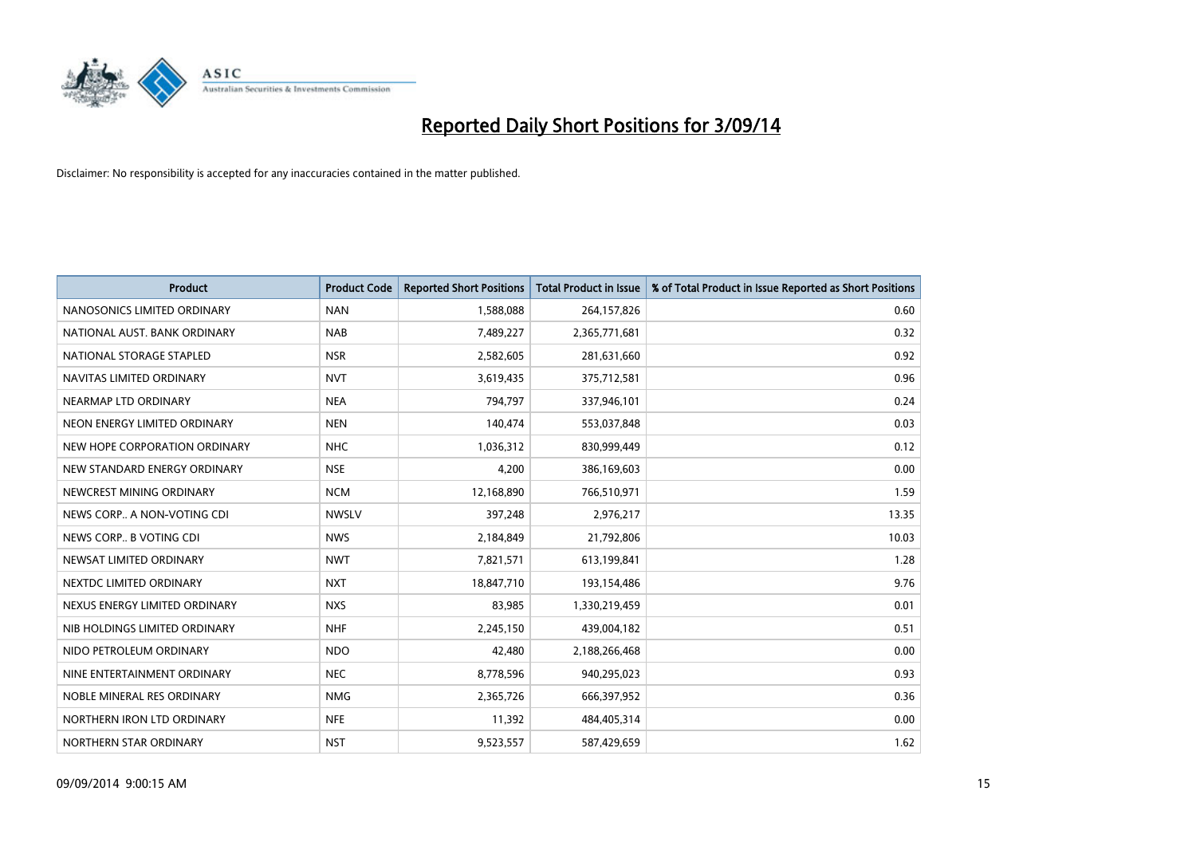

| <b>Product</b>                | <b>Product Code</b> | <b>Reported Short Positions</b> | <b>Total Product in Issue</b> | % of Total Product in Issue Reported as Short Positions |
|-------------------------------|---------------------|---------------------------------|-------------------------------|---------------------------------------------------------|
| NANOSONICS LIMITED ORDINARY   | <b>NAN</b>          | 1,588,088                       | 264,157,826                   | 0.60                                                    |
| NATIONAL AUST. BANK ORDINARY  | <b>NAB</b>          | 7,489,227                       | 2,365,771,681                 | 0.32                                                    |
| NATIONAL STORAGE STAPLED      | <b>NSR</b>          | 2,582,605                       | 281,631,660                   | 0.92                                                    |
| NAVITAS LIMITED ORDINARY      | <b>NVT</b>          | 3,619,435                       | 375,712,581                   | 0.96                                                    |
| NEARMAP LTD ORDINARY          | <b>NEA</b>          | 794,797                         | 337,946,101                   | 0.24                                                    |
| NEON ENERGY LIMITED ORDINARY  | <b>NEN</b>          | 140,474                         | 553,037,848                   | 0.03                                                    |
| NEW HOPE CORPORATION ORDINARY | <b>NHC</b>          | 1,036,312                       | 830,999,449                   | 0.12                                                    |
| NEW STANDARD ENERGY ORDINARY  | <b>NSE</b>          | 4,200                           | 386,169,603                   | 0.00                                                    |
| NEWCREST MINING ORDINARY      | <b>NCM</b>          | 12,168,890                      | 766,510,971                   | 1.59                                                    |
| NEWS CORP A NON-VOTING CDI    | <b>NWSLV</b>        | 397,248                         | 2,976,217                     | 13.35                                                   |
| NEWS CORP B VOTING CDI        | <b>NWS</b>          | 2,184,849                       | 21,792,806                    | 10.03                                                   |
| NEWSAT LIMITED ORDINARY       | <b>NWT</b>          | 7,821,571                       | 613,199,841                   | 1.28                                                    |
| NEXTDC LIMITED ORDINARY       | <b>NXT</b>          | 18,847,710                      | 193,154,486                   | 9.76                                                    |
| NEXUS ENERGY LIMITED ORDINARY | <b>NXS</b>          | 83,985                          | 1,330,219,459                 | 0.01                                                    |
| NIB HOLDINGS LIMITED ORDINARY | <b>NHF</b>          | 2,245,150                       | 439,004,182                   | 0.51                                                    |
| NIDO PETROLEUM ORDINARY       | <b>NDO</b>          | 42,480                          | 2,188,266,468                 | 0.00                                                    |
| NINE ENTERTAINMENT ORDINARY   | <b>NEC</b>          | 8,778,596                       | 940,295,023                   | 0.93                                                    |
| NOBLE MINERAL RES ORDINARY    | <b>NMG</b>          | 2,365,726                       | 666,397,952                   | 0.36                                                    |
| NORTHERN IRON LTD ORDINARY    | <b>NFE</b>          | 11,392                          | 484,405,314                   | 0.00                                                    |
| NORTHERN STAR ORDINARY        | <b>NST</b>          | 9,523,557                       | 587,429,659                   | 1.62                                                    |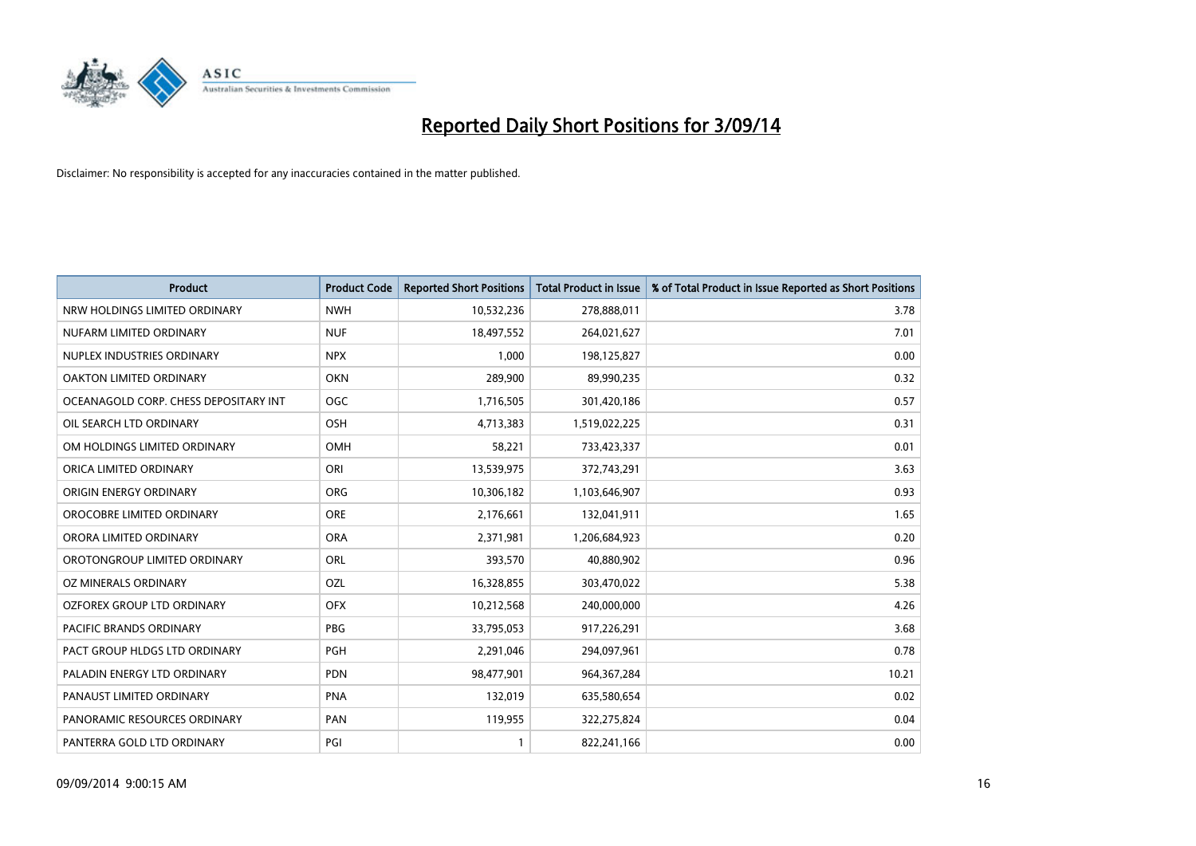

| <b>Product</b>                        | <b>Product Code</b> | <b>Reported Short Positions</b> | <b>Total Product in Issue</b> | % of Total Product in Issue Reported as Short Positions |
|---------------------------------------|---------------------|---------------------------------|-------------------------------|---------------------------------------------------------|
| NRW HOLDINGS LIMITED ORDINARY         | <b>NWH</b>          | 10,532,236                      | 278,888,011                   | 3.78                                                    |
| NUFARM LIMITED ORDINARY               | <b>NUF</b>          | 18,497,552                      | 264,021,627                   | 7.01                                                    |
| NUPLEX INDUSTRIES ORDINARY            | <b>NPX</b>          | 1,000                           | 198,125,827                   | 0.00                                                    |
| OAKTON LIMITED ORDINARY               | <b>OKN</b>          | 289,900                         | 89,990,235                    | 0.32                                                    |
| OCEANAGOLD CORP. CHESS DEPOSITARY INT | <b>OGC</b>          | 1,716,505                       | 301,420,186                   | 0.57                                                    |
| OIL SEARCH LTD ORDINARY               | OSH                 | 4,713,383                       | 1,519,022,225                 | 0.31                                                    |
| OM HOLDINGS LIMITED ORDINARY          | <b>OMH</b>          | 58,221                          | 733,423,337                   | 0.01                                                    |
| ORICA LIMITED ORDINARY                | ORI                 | 13,539,975                      | 372,743,291                   | 3.63                                                    |
| ORIGIN ENERGY ORDINARY                | <b>ORG</b>          | 10,306,182                      | 1,103,646,907                 | 0.93                                                    |
| OROCOBRE LIMITED ORDINARY             | <b>ORE</b>          | 2,176,661                       | 132,041,911                   | 1.65                                                    |
| ORORA LIMITED ORDINARY                | <b>ORA</b>          | 2,371,981                       | 1,206,684,923                 | 0.20                                                    |
| OROTONGROUP LIMITED ORDINARY          | <b>ORL</b>          | 393,570                         | 40,880,902                    | 0.96                                                    |
| OZ MINERALS ORDINARY                  | OZL                 | 16,328,855                      | 303,470,022                   | 5.38                                                    |
| OZFOREX GROUP LTD ORDINARY            | <b>OFX</b>          | 10,212,568                      | 240,000,000                   | 4.26                                                    |
| PACIFIC BRANDS ORDINARY               | <b>PBG</b>          | 33,795,053                      | 917,226,291                   | 3.68                                                    |
| PACT GROUP HLDGS LTD ORDINARY         | <b>PGH</b>          | 2,291,046                       | 294,097,961                   | 0.78                                                    |
| PALADIN ENERGY LTD ORDINARY           | <b>PDN</b>          | 98,477,901                      | 964,367,284                   | 10.21                                                   |
| PANAUST LIMITED ORDINARY              | <b>PNA</b>          | 132,019                         | 635,580,654                   | 0.02                                                    |
| PANORAMIC RESOURCES ORDINARY          | PAN                 | 119,955                         | 322,275,824                   | 0.04                                                    |
| PANTERRA GOLD LTD ORDINARY            | PGI                 | 1                               | 822,241,166                   | 0.00                                                    |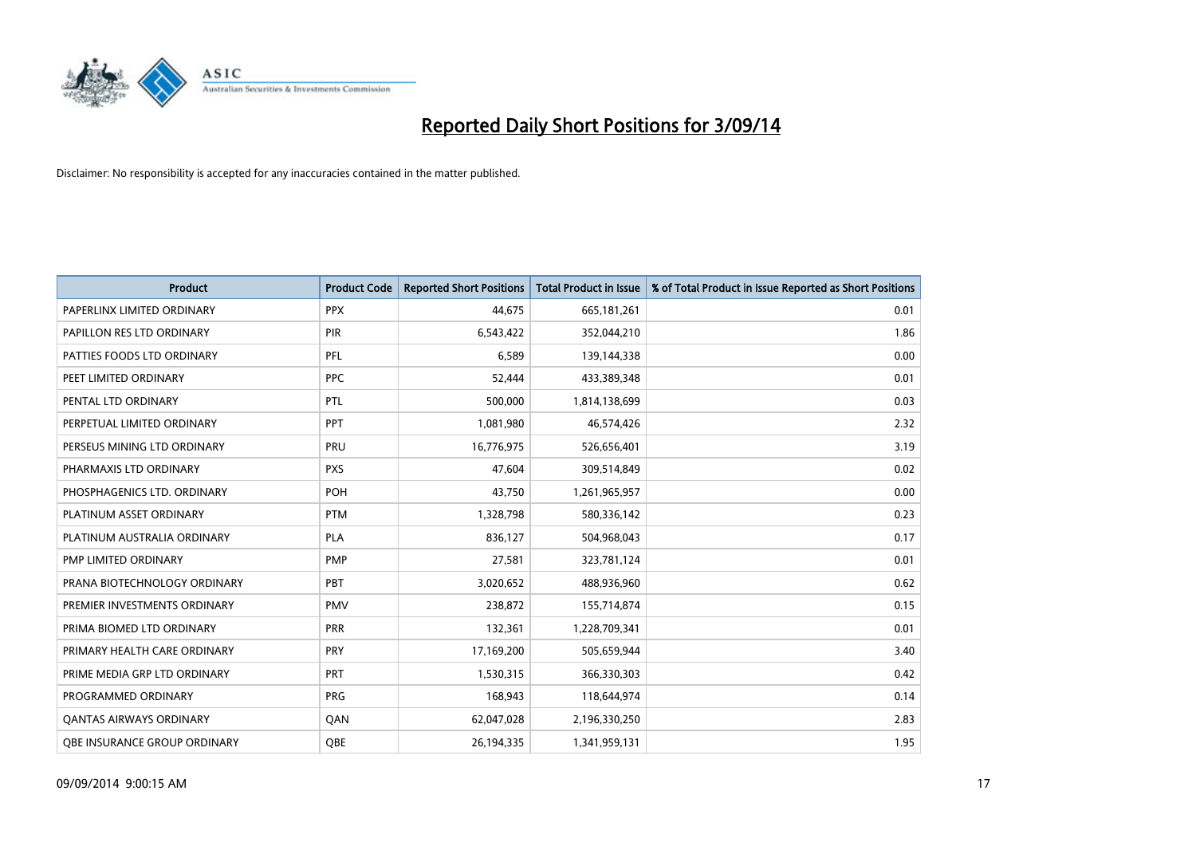

| <b>Product</b>                      | <b>Product Code</b> | <b>Reported Short Positions</b> | <b>Total Product in Issue</b> | % of Total Product in Issue Reported as Short Positions |
|-------------------------------------|---------------------|---------------------------------|-------------------------------|---------------------------------------------------------|
| PAPERLINX LIMITED ORDINARY          | <b>PPX</b>          | 44.675                          | 665, 181, 261                 | 0.01                                                    |
| PAPILLON RES LTD ORDINARY           | <b>PIR</b>          | 6,543,422                       | 352,044,210                   | 1.86                                                    |
| PATTIES FOODS LTD ORDINARY          | <b>PFL</b>          | 6,589                           | 139,144,338                   | 0.00                                                    |
| PEET LIMITED ORDINARY               | <b>PPC</b>          | 52,444                          | 433,389,348                   | 0.01                                                    |
| PENTAL LTD ORDINARY                 | PTL                 | 500,000                         | 1,814,138,699                 | 0.03                                                    |
| PERPETUAL LIMITED ORDINARY          | <b>PPT</b>          | 1,081,980                       | 46,574,426                    | 2.32                                                    |
| PERSEUS MINING LTD ORDINARY         | PRU                 | 16,776,975                      | 526,656,401                   | 3.19                                                    |
| PHARMAXIS LTD ORDINARY              | <b>PXS</b>          | 47,604                          | 309,514,849                   | 0.02                                                    |
| PHOSPHAGENICS LTD. ORDINARY         | POH                 | 43,750                          | 1,261,965,957                 | 0.00                                                    |
| PLATINUM ASSET ORDINARY             | <b>PTM</b>          | 1,328,798                       | 580,336,142                   | 0.23                                                    |
| PLATINUM AUSTRALIA ORDINARY         | <b>PLA</b>          | 836,127                         | 504,968,043                   | 0.17                                                    |
| PMP LIMITED ORDINARY                | <b>PMP</b>          | 27,581                          | 323,781,124                   | 0.01                                                    |
| PRANA BIOTECHNOLOGY ORDINARY        | PBT                 | 3,020,652                       | 488,936,960                   | 0.62                                                    |
| PREMIER INVESTMENTS ORDINARY        | <b>PMV</b>          | 238,872                         | 155,714,874                   | 0.15                                                    |
| PRIMA BIOMED LTD ORDINARY           | <b>PRR</b>          | 132,361                         | 1,228,709,341                 | 0.01                                                    |
| PRIMARY HEALTH CARE ORDINARY        | <b>PRY</b>          | 17,169,200                      | 505,659,944                   | 3.40                                                    |
| PRIME MEDIA GRP LTD ORDINARY        | <b>PRT</b>          | 1,530,315                       | 366,330,303                   | 0.42                                                    |
| PROGRAMMED ORDINARY                 | <b>PRG</b>          | 168,943                         | 118,644,974                   | 0.14                                                    |
| <b>QANTAS AIRWAYS ORDINARY</b>      | QAN                 | 62,047,028                      | 2,196,330,250                 | 2.83                                                    |
| <b>QBE INSURANCE GROUP ORDINARY</b> | OBE                 | 26,194,335                      | 1,341,959,131                 | 1.95                                                    |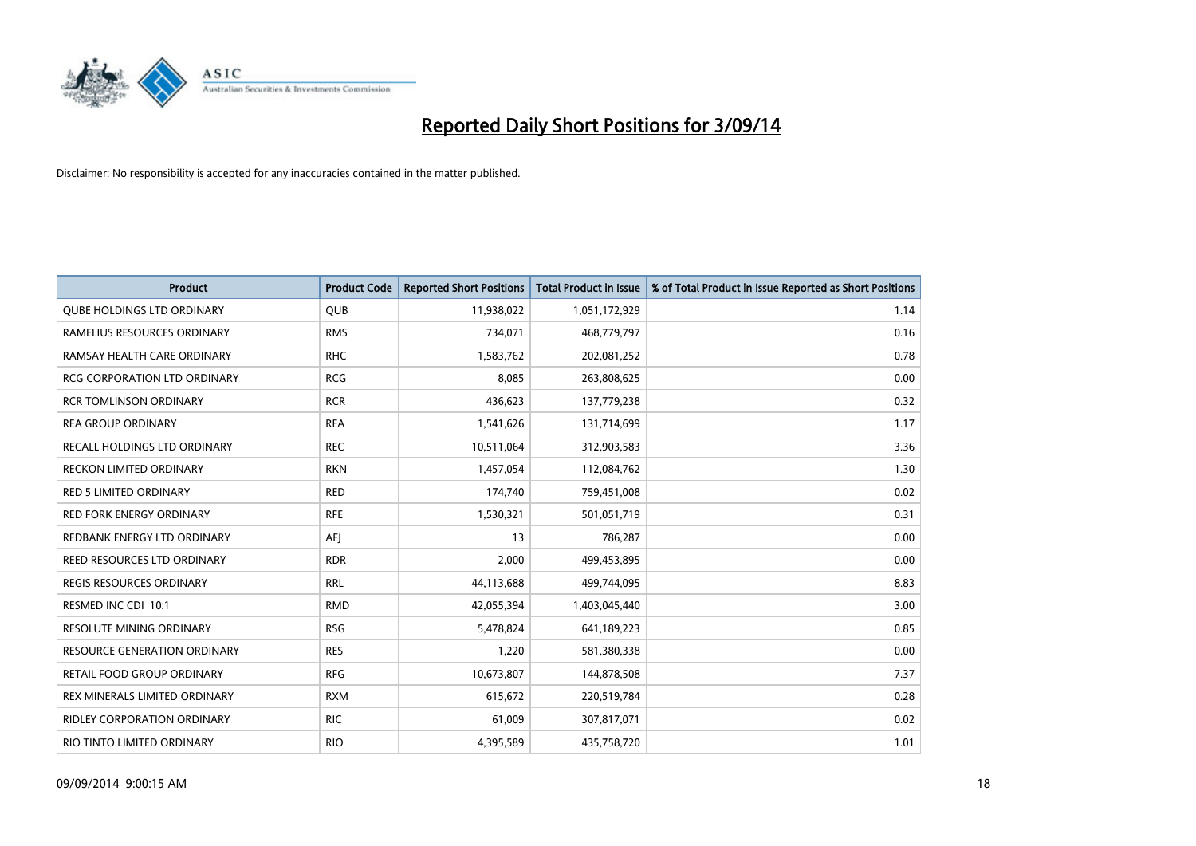

| <b>Product</b>                      | <b>Product Code</b> | <b>Reported Short Positions</b> | <b>Total Product in Issue</b> | % of Total Product in Issue Reported as Short Positions |
|-------------------------------------|---------------------|---------------------------------|-------------------------------|---------------------------------------------------------|
| <b>QUBE HOLDINGS LTD ORDINARY</b>   | <b>QUB</b>          | 11,938,022                      | 1,051,172,929                 | 1.14                                                    |
| RAMELIUS RESOURCES ORDINARY         | <b>RMS</b>          | 734,071                         | 468,779,797                   | 0.16                                                    |
| RAMSAY HEALTH CARE ORDINARY         | <b>RHC</b>          | 1,583,762                       | 202,081,252                   | 0.78                                                    |
| <b>RCG CORPORATION LTD ORDINARY</b> | <b>RCG</b>          | 8,085                           | 263,808,625                   | 0.00                                                    |
| <b>RCR TOMLINSON ORDINARY</b>       | <b>RCR</b>          | 436,623                         | 137,779,238                   | 0.32                                                    |
| <b>REA GROUP ORDINARY</b>           | <b>REA</b>          | 1,541,626                       | 131,714,699                   | 1.17                                                    |
| RECALL HOLDINGS LTD ORDINARY        | <b>REC</b>          | 10,511,064                      | 312,903,583                   | 3.36                                                    |
| <b>RECKON LIMITED ORDINARY</b>      | <b>RKN</b>          | 1,457,054                       | 112,084,762                   | 1.30                                                    |
| RED 5 LIMITED ORDINARY              | <b>RED</b>          | 174,740                         | 759,451,008                   | 0.02                                                    |
| <b>RED FORK ENERGY ORDINARY</b>     | <b>RFE</b>          | 1,530,321                       | 501,051,719                   | 0.31                                                    |
| REDBANK ENERGY LTD ORDINARY         | <b>AEI</b>          | 13                              | 786,287                       | 0.00                                                    |
| REED RESOURCES LTD ORDINARY         | <b>RDR</b>          | 2,000                           | 499,453,895                   | 0.00                                                    |
| REGIS RESOURCES ORDINARY            | <b>RRL</b>          | 44,113,688                      | 499,744,095                   | 8.83                                                    |
| RESMED INC CDI 10:1                 | <b>RMD</b>          | 42,055,394                      | 1,403,045,440                 | 3.00                                                    |
| RESOLUTE MINING ORDINARY            | <b>RSG</b>          | 5,478,824                       | 641,189,223                   | 0.85                                                    |
| <b>RESOURCE GENERATION ORDINARY</b> | <b>RES</b>          | 1,220                           | 581,380,338                   | 0.00                                                    |
| RETAIL FOOD GROUP ORDINARY          | <b>RFG</b>          | 10,673,807                      | 144,878,508                   | 7.37                                                    |
| REX MINERALS LIMITED ORDINARY       | <b>RXM</b>          | 615,672                         | 220,519,784                   | 0.28                                                    |
| <b>RIDLEY CORPORATION ORDINARY</b>  | <b>RIC</b>          | 61,009                          | 307,817,071                   | 0.02                                                    |
| RIO TINTO LIMITED ORDINARY          | <b>RIO</b>          | 4,395,589                       | 435,758,720                   | 1.01                                                    |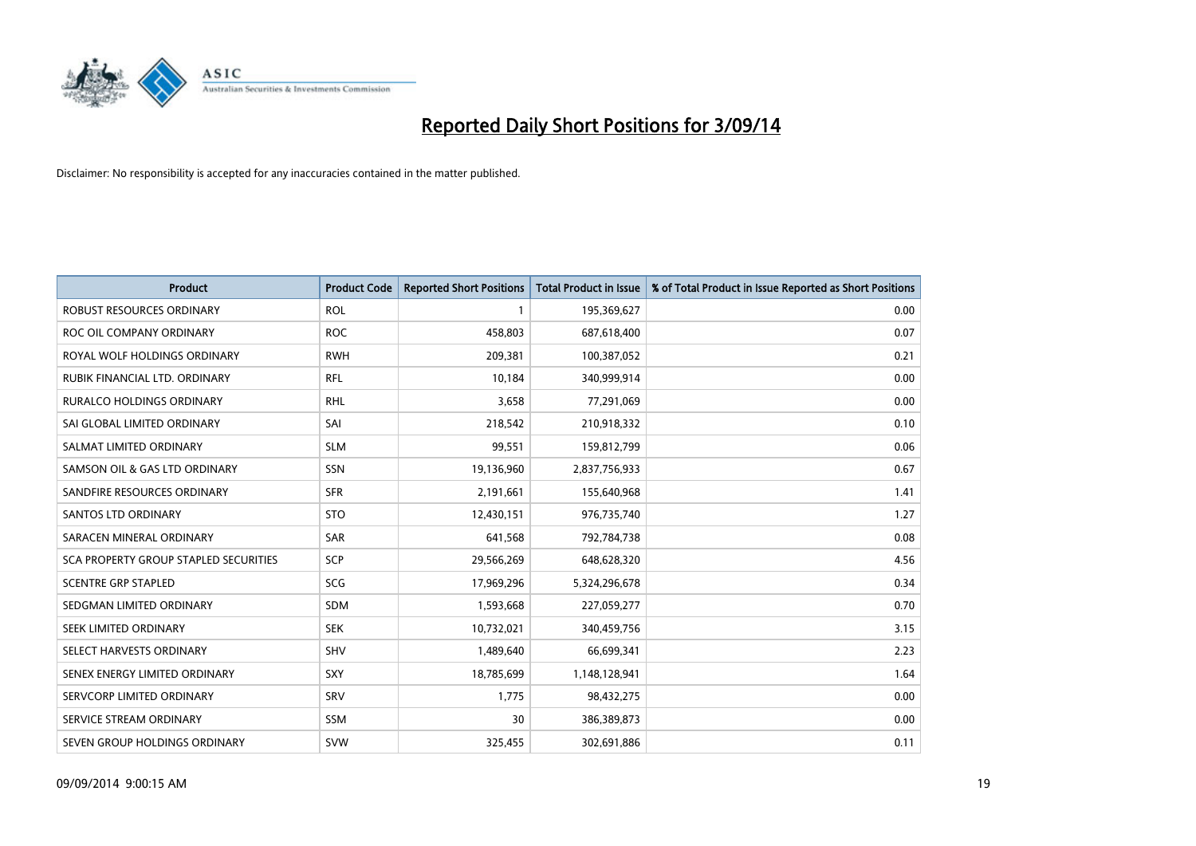

| <b>Product</b>                        | <b>Product Code</b> | <b>Reported Short Positions</b> | <b>Total Product in Issue</b> | % of Total Product in Issue Reported as Short Positions |
|---------------------------------------|---------------------|---------------------------------|-------------------------------|---------------------------------------------------------|
| ROBUST RESOURCES ORDINARY             | <b>ROL</b>          | 1                               | 195,369,627                   | 0.00                                                    |
| ROC OIL COMPANY ORDINARY              | <b>ROC</b>          | 458,803                         | 687,618,400                   | 0.07                                                    |
| ROYAL WOLF HOLDINGS ORDINARY          | <b>RWH</b>          | 209,381                         | 100,387,052                   | 0.21                                                    |
| RUBIK FINANCIAL LTD, ORDINARY         | <b>RFL</b>          | 10,184                          | 340,999,914                   | 0.00                                                    |
| <b>RURALCO HOLDINGS ORDINARY</b>      | <b>RHL</b>          | 3,658                           | 77,291,069                    | 0.00                                                    |
| SAI GLOBAL LIMITED ORDINARY           | SAI                 | 218,542                         | 210,918,332                   | 0.10                                                    |
| SALMAT LIMITED ORDINARY               | <b>SLM</b>          | 99,551                          | 159,812,799                   | 0.06                                                    |
| SAMSON OIL & GAS LTD ORDINARY         | SSN                 | 19,136,960                      | 2,837,756,933                 | 0.67                                                    |
| SANDFIRE RESOURCES ORDINARY           | <b>SFR</b>          | 2,191,661                       | 155,640,968                   | 1.41                                                    |
| SANTOS LTD ORDINARY                   | <b>STO</b>          | 12,430,151                      | 976,735,740                   | 1.27                                                    |
| SARACEN MINERAL ORDINARY              | SAR                 | 641,568                         | 792,784,738                   | 0.08                                                    |
| SCA PROPERTY GROUP STAPLED SECURITIES | SCP                 | 29,566,269                      | 648,628,320                   | 4.56                                                    |
| <b>SCENTRE GRP STAPLED</b>            | SCG                 | 17,969,296                      | 5,324,296,678                 | 0.34                                                    |
| SEDGMAN LIMITED ORDINARY              | <b>SDM</b>          | 1,593,668                       | 227,059,277                   | 0.70                                                    |
| SEEK LIMITED ORDINARY                 | <b>SEK</b>          | 10,732,021                      | 340,459,756                   | 3.15                                                    |
| SELECT HARVESTS ORDINARY              | <b>SHV</b>          | 1,489,640                       | 66,699,341                    | 2.23                                                    |
| SENEX ENERGY LIMITED ORDINARY         | <b>SXY</b>          | 18,785,699                      | 1,148,128,941                 | 1.64                                                    |
| SERVCORP LIMITED ORDINARY             | SRV                 | 1,775                           | 98,432,275                    | 0.00                                                    |
| SERVICE STREAM ORDINARY               | <b>SSM</b>          | 30                              | 386,389,873                   | 0.00                                                    |
| SEVEN GROUP HOLDINGS ORDINARY         | <b>SVW</b>          | 325,455                         | 302,691,886                   | 0.11                                                    |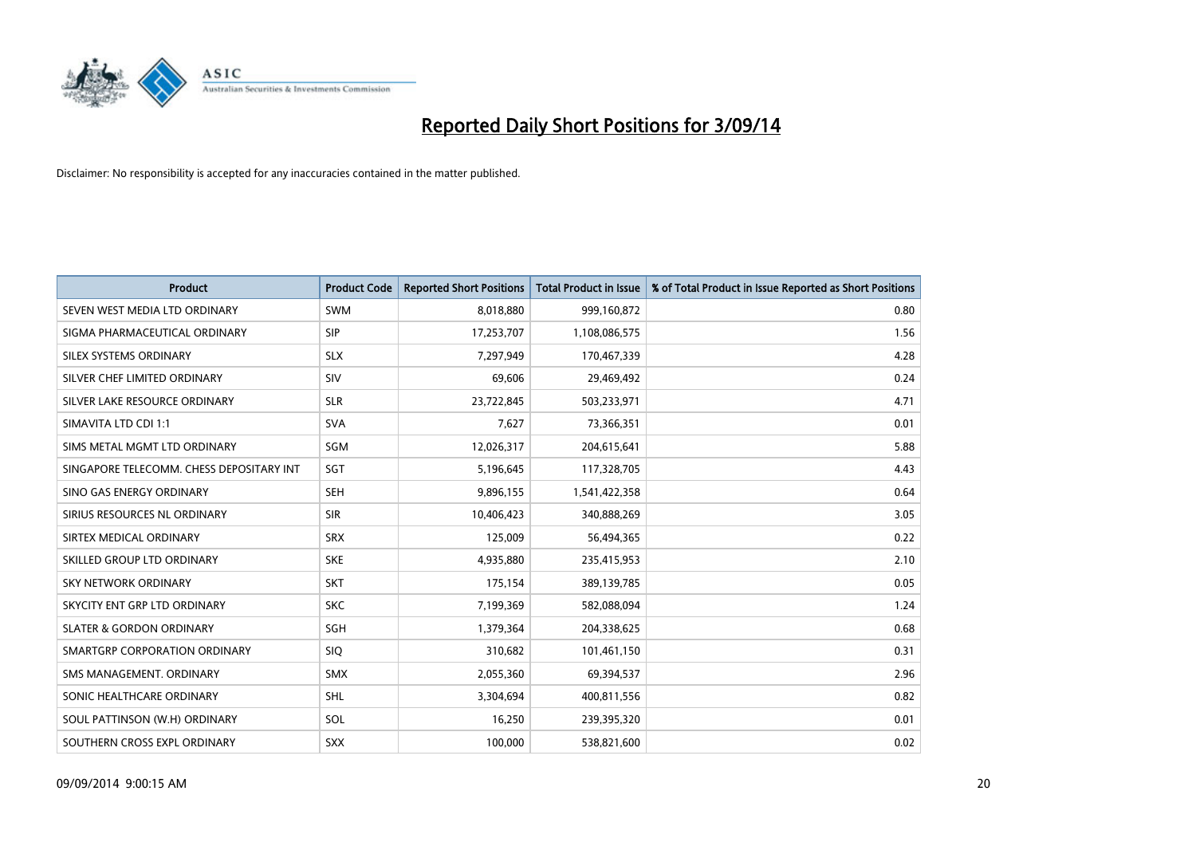

| <b>Product</b>                           | <b>Product Code</b> | <b>Reported Short Positions</b> | <b>Total Product in Issue</b> | % of Total Product in Issue Reported as Short Positions |
|------------------------------------------|---------------------|---------------------------------|-------------------------------|---------------------------------------------------------|
| SEVEN WEST MEDIA LTD ORDINARY            | <b>SWM</b>          | 8,018,880                       | 999,160,872                   | 0.80                                                    |
| SIGMA PHARMACEUTICAL ORDINARY            | <b>SIP</b>          | 17,253,707                      | 1,108,086,575                 | 1.56                                                    |
| SILEX SYSTEMS ORDINARY                   | <b>SLX</b>          | 7,297,949                       | 170,467,339                   | 4.28                                                    |
| SILVER CHEF LIMITED ORDINARY             | SIV                 | 69,606                          | 29,469,492                    | 0.24                                                    |
| SILVER LAKE RESOURCE ORDINARY            | <b>SLR</b>          | 23,722,845                      | 503,233,971                   | 4.71                                                    |
| SIMAVITA LTD CDI 1:1                     | <b>SVA</b>          | 7,627                           | 73,366,351                    | 0.01                                                    |
| SIMS METAL MGMT LTD ORDINARY             | <b>SGM</b>          | 12,026,317                      | 204,615,641                   | 5.88                                                    |
| SINGAPORE TELECOMM. CHESS DEPOSITARY INT | SGT                 | 5,196,645                       | 117,328,705                   | 4.43                                                    |
| SINO GAS ENERGY ORDINARY                 | <b>SEH</b>          | 9,896,155                       | 1,541,422,358                 | 0.64                                                    |
| SIRIUS RESOURCES NL ORDINARY             | <b>SIR</b>          | 10,406,423                      | 340,888,269                   | 3.05                                                    |
| SIRTEX MEDICAL ORDINARY                  | <b>SRX</b>          | 125,009                         | 56,494,365                    | 0.22                                                    |
| SKILLED GROUP LTD ORDINARY               | <b>SKE</b>          | 4,935,880                       | 235,415,953                   | 2.10                                                    |
| SKY NETWORK ORDINARY                     | <b>SKT</b>          | 175,154                         | 389,139,785                   | 0.05                                                    |
| SKYCITY ENT GRP LTD ORDINARY             | <b>SKC</b>          | 7,199,369                       | 582,088,094                   | 1.24                                                    |
| <b>SLATER &amp; GORDON ORDINARY</b>      | SGH                 | 1,379,364                       | 204,338,625                   | 0.68                                                    |
| SMARTGRP CORPORATION ORDINARY            | <b>SIQ</b>          | 310,682                         | 101,461,150                   | 0.31                                                    |
| SMS MANAGEMENT. ORDINARY                 | SMX                 | 2,055,360                       | 69,394,537                    | 2.96                                                    |
| SONIC HEALTHCARE ORDINARY                | <b>SHL</b>          | 3,304,694                       | 400,811,556                   | 0.82                                                    |
| SOUL PATTINSON (W.H) ORDINARY            | SOL                 | 16,250                          | 239,395,320                   | 0.01                                                    |
| SOUTHERN CROSS EXPL ORDINARY             | <b>SXX</b>          | 100,000                         | 538,821,600                   | 0.02                                                    |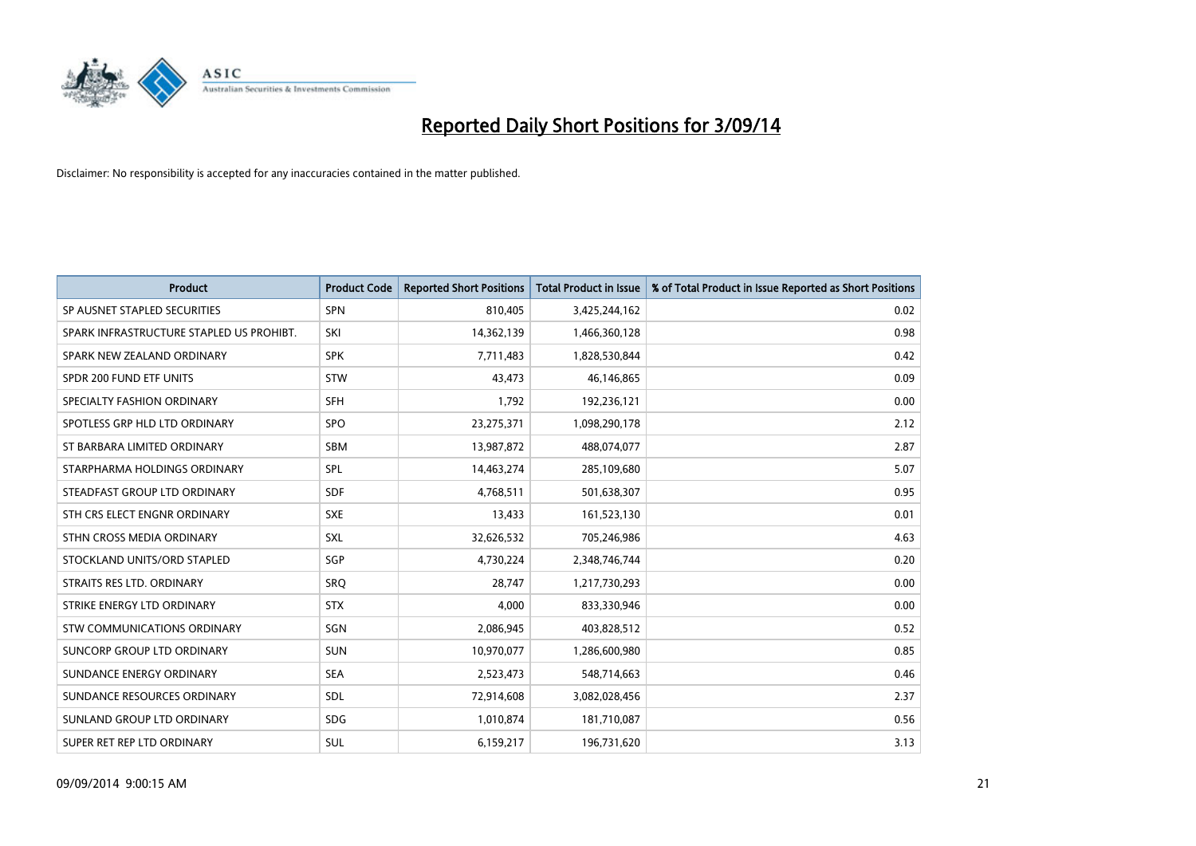

| <b>Product</b>                           | <b>Product Code</b> | <b>Reported Short Positions</b> | <b>Total Product in Issue</b> | % of Total Product in Issue Reported as Short Positions |
|------------------------------------------|---------------------|---------------------------------|-------------------------------|---------------------------------------------------------|
| SP AUSNET STAPLED SECURITIES             | SPN                 | 810,405                         | 3,425,244,162                 | 0.02                                                    |
| SPARK INFRASTRUCTURE STAPLED US PROHIBT. | SKI                 | 14,362,139                      | 1,466,360,128                 | 0.98                                                    |
| SPARK NEW ZEALAND ORDINARY               | <b>SPK</b>          | 7,711,483                       | 1,828,530,844                 | 0.42                                                    |
| SPDR 200 FUND ETF UNITS                  | <b>STW</b>          | 43,473                          | 46,146,865                    | 0.09                                                    |
| SPECIALTY FASHION ORDINARY               | <b>SFH</b>          | 1,792                           | 192,236,121                   | 0.00                                                    |
| SPOTLESS GRP HLD LTD ORDINARY            | <b>SPO</b>          | 23,275,371                      | 1,098,290,178                 | 2.12                                                    |
| ST BARBARA LIMITED ORDINARY              | <b>SBM</b>          | 13,987,872                      | 488,074,077                   | 2.87                                                    |
| STARPHARMA HOLDINGS ORDINARY             | <b>SPL</b>          | 14,463,274                      | 285,109,680                   | 5.07                                                    |
| STEADFAST GROUP LTD ORDINARY             | <b>SDF</b>          | 4,768,511                       | 501,638,307                   | 0.95                                                    |
| STH CRS ELECT ENGNR ORDINARY             | <b>SXE</b>          | 13,433                          | 161,523,130                   | 0.01                                                    |
| STHN CROSS MEDIA ORDINARY                | SXL                 | 32,626,532                      | 705,246,986                   | 4.63                                                    |
| STOCKLAND UNITS/ORD STAPLED              | SGP                 | 4,730,224                       | 2,348,746,744                 | 0.20                                                    |
| STRAITS RES LTD. ORDINARY                | <b>SRQ</b>          | 28,747                          | 1,217,730,293                 | 0.00                                                    |
| STRIKE ENERGY LTD ORDINARY               | <b>STX</b>          | 4,000                           | 833,330,946                   | 0.00                                                    |
| STW COMMUNICATIONS ORDINARY              | SGN                 | 2,086,945                       | 403,828,512                   | 0.52                                                    |
| <b>SUNCORP GROUP LTD ORDINARY</b>        | <b>SUN</b>          | 10,970,077                      | 1,286,600,980                 | 0.85                                                    |
| SUNDANCE ENERGY ORDINARY                 | <b>SEA</b>          | 2,523,473                       | 548,714,663                   | 0.46                                                    |
| SUNDANCE RESOURCES ORDINARY              | SDL                 | 72,914,608                      | 3,082,028,456                 | 2.37                                                    |
| SUNLAND GROUP LTD ORDINARY               | <b>SDG</b>          | 1,010,874                       | 181,710,087                   | 0.56                                                    |
| SUPER RET REP LTD ORDINARY               | SUL                 | 6,159,217                       | 196,731,620                   | 3.13                                                    |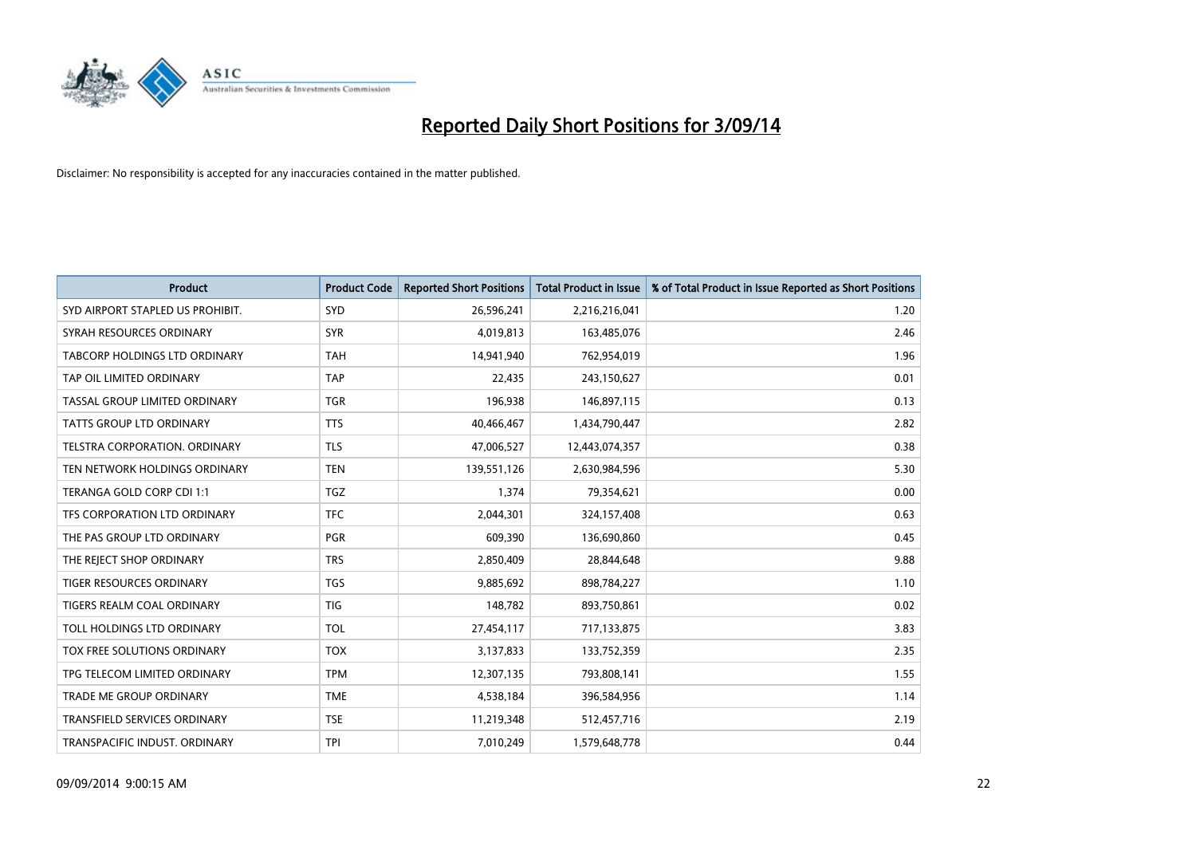

| <b>Product</b>                   | <b>Product Code</b> | <b>Reported Short Positions</b> | <b>Total Product in Issue</b> | % of Total Product in Issue Reported as Short Positions |
|----------------------------------|---------------------|---------------------------------|-------------------------------|---------------------------------------------------------|
| SYD AIRPORT STAPLED US PROHIBIT. | <b>SYD</b>          | 26,596,241                      | 2,216,216,041                 | 1.20                                                    |
| SYRAH RESOURCES ORDINARY         | <b>SYR</b>          | 4,019,813                       | 163,485,076                   | 2.46                                                    |
| TABCORP HOLDINGS LTD ORDINARY    | <b>TAH</b>          | 14,941,940                      | 762,954,019                   | 1.96                                                    |
| TAP OIL LIMITED ORDINARY         | <b>TAP</b>          | 22,435                          | 243,150,627                   | 0.01                                                    |
| TASSAL GROUP LIMITED ORDINARY    | <b>TGR</b>          | 196,938                         | 146,897,115                   | 0.13                                                    |
| <b>TATTS GROUP LTD ORDINARY</b>  | <b>TTS</b>          | 40,466,467                      | 1,434,790,447                 | 2.82                                                    |
| TELSTRA CORPORATION. ORDINARY    | <b>TLS</b>          | 47,006,527                      | 12,443,074,357                | 0.38                                                    |
| TEN NETWORK HOLDINGS ORDINARY    | <b>TEN</b>          | 139,551,126                     | 2,630,984,596                 | 5.30                                                    |
| TERANGA GOLD CORP CDI 1:1        | <b>TGZ</b>          | 1,374                           | 79,354,621                    | 0.00                                                    |
| TFS CORPORATION LTD ORDINARY     | <b>TFC</b>          | 2,044,301                       | 324,157,408                   | 0.63                                                    |
| THE PAS GROUP LTD ORDINARY       | PGR                 | 609,390                         | 136,690,860                   | 0.45                                                    |
| THE REJECT SHOP ORDINARY         | <b>TRS</b>          | 2,850,409                       | 28,844,648                    | 9.88                                                    |
| <b>TIGER RESOURCES ORDINARY</b>  | <b>TGS</b>          | 9,885,692                       | 898,784,227                   | 1.10                                                    |
| TIGERS REALM COAL ORDINARY       | <b>TIG</b>          | 148,782                         | 893,750,861                   | 0.02                                                    |
| TOLL HOLDINGS LTD ORDINARY       | <b>TOL</b>          | 27,454,117                      | 717,133,875                   | 3.83                                                    |
| TOX FREE SOLUTIONS ORDINARY      | <b>TOX</b>          | 3,137,833                       | 133,752,359                   | 2.35                                                    |
| TPG TELECOM LIMITED ORDINARY     | <b>TPM</b>          | 12,307,135                      | 793,808,141                   | 1.55                                                    |
| <b>TRADE ME GROUP ORDINARY</b>   | <b>TME</b>          | 4,538,184                       | 396,584,956                   | 1.14                                                    |
| TRANSFIELD SERVICES ORDINARY     | <b>TSE</b>          | 11,219,348                      | 512,457,716                   | 2.19                                                    |
| TRANSPACIFIC INDUST. ORDINARY    | TPI                 | 7,010,249                       | 1,579,648,778                 | 0.44                                                    |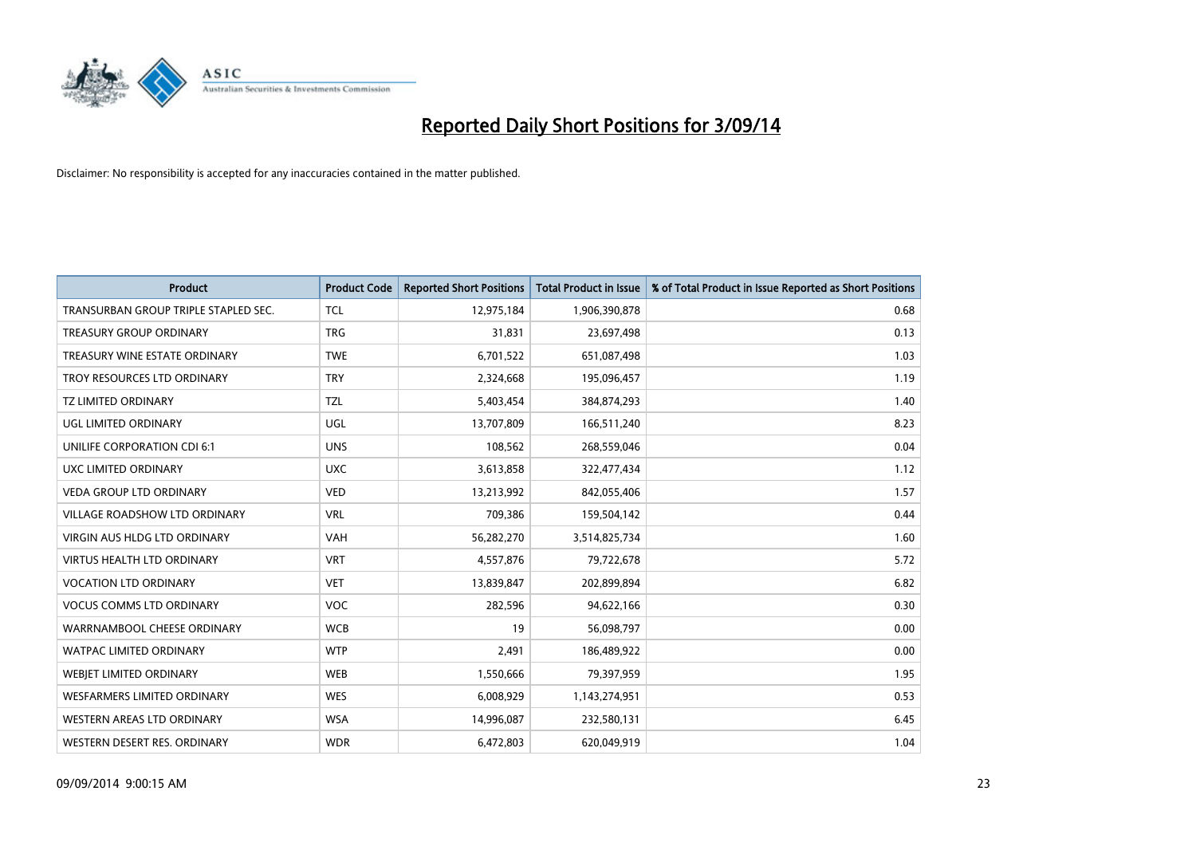

| <b>Product</b>                       | <b>Product Code</b> | <b>Reported Short Positions</b> | <b>Total Product in Issue</b> | % of Total Product in Issue Reported as Short Positions |
|--------------------------------------|---------------------|---------------------------------|-------------------------------|---------------------------------------------------------|
| TRANSURBAN GROUP TRIPLE STAPLED SEC. | <b>TCL</b>          | 12,975,184                      | 1,906,390,878                 | 0.68                                                    |
| TREASURY GROUP ORDINARY              | <b>TRG</b>          | 31,831                          | 23,697,498                    | 0.13                                                    |
| TREASURY WINE ESTATE ORDINARY        | <b>TWE</b>          | 6,701,522                       | 651,087,498                   | 1.03                                                    |
| TROY RESOURCES LTD ORDINARY          | <b>TRY</b>          | 2,324,668                       | 195,096,457                   | 1.19                                                    |
| <b>TZ LIMITED ORDINARY</b>           | <b>TZL</b>          | 5,403,454                       | 384,874,293                   | 1.40                                                    |
| <b>UGL LIMITED ORDINARY</b>          | UGL                 | 13,707,809                      | 166,511,240                   | 8.23                                                    |
| UNILIFE CORPORATION CDI 6:1          | <b>UNS</b>          | 108,562                         | 268,559,046                   | 0.04                                                    |
| UXC LIMITED ORDINARY                 | <b>UXC</b>          | 3,613,858                       | 322,477,434                   | 1.12                                                    |
| <b>VEDA GROUP LTD ORDINARY</b>       | <b>VED</b>          | 13,213,992                      | 842,055,406                   | 1.57                                                    |
| <b>VILLAGE ROADSHOW LTD ORDINARY</b> | <b>VRL</b>          | 709,386                         | 159,504,142                   | 0.44                                                    |
| VIRGIN AUS HLDG LTD ORDINARY         | VAH                 | 56,282,270                      | 3,514,825,734                 | 1.60                                                    |
| <b>VIRTUS HEALTH LTD ORDINARY</b>    | <b>VRT</b>          | 4,557,876                       | 79,722,678                    | 5.72                                                    |
| <b>VOCATION LTD ORDINARY</b>         | <b>VET</b>          | 13,839,847                      | 202,899,894                   | 6.82                                                    |
| <b>VOCUS COMMS LTD ORDINARY</b>      | VOC                 | 282,596                         | 94,622,166                    | 0.30                                                    |
| WARRNAMBOOL CHEESE ORDINARY          | <b>WCB</b>          | 19                              | 56,098,797                    | 0.00                                                    |
| WATPAC LIMITED ORDINARY              | <b>WTP</b>          | 2,491                           | 186,489,922                   | 0.00                                                    |
| <b>WEBIET LIMITED ORDINARY</b>       | <b>WEB</b>          | 1,550,666                       | 79,397,959                    | 1.95                                                    |
| <b>WESFARMERS LIMITED ORDINARY</b>   | <b>WES</b>          | 6,008,929                       | 1,143,274,951                 | 0.53                                                    |
| <b>WESTERN AREAS LTD ORDINARY</b>    | <b>WSA</b>          | 14,996,087                      | 232,580,131                   | 6.45                                                    |
| WESTERN DESERT RES. ORDINARY         | <b>WDR</b>          | 6,472,803                       | 620,049,919                   | 1.04                                                    |